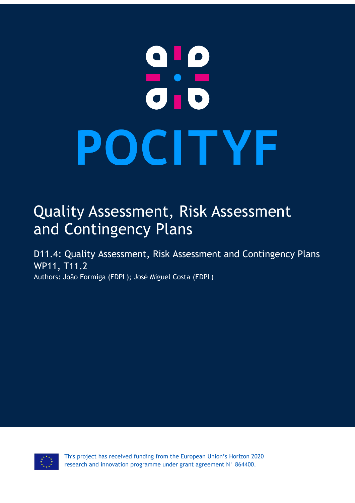# $\begin{array}{c} \textbf{0} \textbf{1} \textbf{0} \\ \textbf{-} \textbf{-} \textbf{0} \end{array}$ POCITYF

# Quality Assessment, Risk Assessment and Contingency Plans

D11.4: Quality Assessment, Risk Assessment and Contingency Plans WP11, T11.2 Authors: João Formiga (EDPL); José Miguel Costa (EDPL)

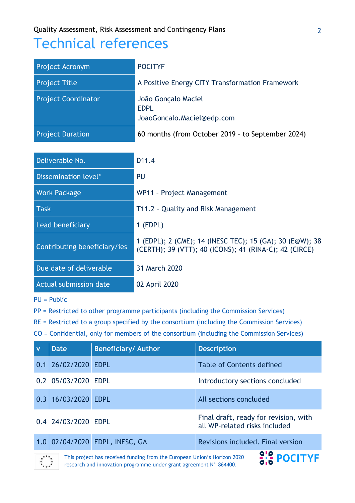# Technical references

| Project Acronym              | <b>POCITYF</b>                                                                                                     |
|------------------------------|--------------------------------------------------------------------------------------------------------------------|
| <b>Project Title</b>         | A Positive Energy CITY Transformation Framework                                                                    |
| <b>Project Coordinator</b>   | João Gonçalo Maciel<br><b>EDPL</b><br>JoaoGoncalo.Maciel@edp.com                                                   |
| <b>Project Duration</b>      | 60 months (from October 2019 - to September 2024)                                                                  |
|                              |                                                                                                                    |
| Deliverable No.              | D <sub>11.4</sub>                                                                                                  |
| Dissemination level*         | PU                                                                                                                 |
| <b>Work Package</b>          | WP11 - Project Management                                                                                          |
| <b>Task</b>                  | T11.2 - Quality and Risk Management                                                                                |
| Lead beneficiary             | $1$ (EDPL)                                                                                                         |
| Contributing beneficiary/ies | 1 (EDPL); 2 (CME); 14 (INESC TEC); 15 (GA); 30 (E@W); 38<br>(CERTH); 39 (VTT); 40 (ICONS); 41 (RINA-C); 42 (CIRCE) |
| Due date of deliverable      | 31 March 2020                                                                                                      |
| Actual submission date       | 02 April 2020                                                                                                      |

PU = Public

PP = Restricted to other programme participants (including the Commission Services)

RE = Restricted to a group specified by the consortium (including the Commission Services)

CO = Confidential, only for members of the consortium (including the Commission Services)

| $\mathbf{v}$ | Date                                                                                                                                                           | <b>Beneficiary/ Author</b>     | <b>Description</b>                                                     |  |  |  |  |  |  |
|--------------|----------------------------------------------------------------------------------------------------------------------------------------------------------------|--------------------------------|------------------------------------------------------------------------|--|--|--|--|--|--|
|              | 0.1 26/02/2020 EDPL                                                                                                                                            |                                | <b>Table of Contents defined</b>                                       |  |  |  |  |  |  |
|              | 0.2 05/03/2020 EDPL                                                                                                                                            |                                | Introductory sections concluded                                        |  |  |  |  |  |  |
|              | 0.3 16/03/2020 EDPL                                                                                                                                            |                                | All sections concluded                                                 |  |  |  |  |  |  |
|              | 0.4 24/03/2020 EDPL                                                                                                                                            |                                | Final draft, ready for revision, with<br>all WP-related risks included |  |  |  |  |  |  |
|              |                                                                                                                                                                | 1.0 02/04/2020 EDPL, INESC, GA | Revisions included. Final version                                      |  |  |  |  |  |  |
|              | $2.2$ POCITYF<br>This project has received funding from the European Union's Horizon 2020<br>research and innovation programme under grant agreement N° 864400 |                                |                                                                        |  |  |  |  |  |  |

research and innovation programme under grant agreement N° 864400.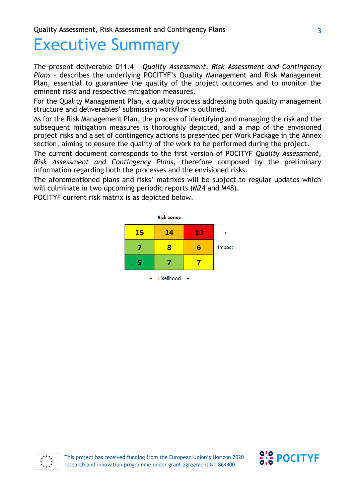# Executive Summary

The present deliverable D11.4 – *Quality Assessment, Risk Assessment and Contingency Plans* – describes the underlying POCITYF's Quality Management and Risk Management Plan, essential to guarantee the quality of the project outcomes and to monitor the eminent risks and respective mitigation measures.

For the Quality Management Plan, a quality process addressing both quality management structure and deliverables' submission workflow is outlined.

As for the Risk Management Plan, the process of identifying and managing the risk and the subsequent mitigation measures is thoroughly depicted, and a map of the envisioned project risks and a set of contingency actions is presented per Work Package in the Annex section, aiming to ensure the quality of the work to be performed during the project.

The current document corresponds to the first version of POCITYF *Quality Assessment, Risk Assessment and Contingency Plans*, therefore composed by the preliminary information regarding both the processes and the envisioned risks.

The aforementioned plans and risks' matrixes will be subject to regular updates which will culminate in two upcoming periodic reports (M24 and M48).

POCITYF current risk matrix is as depicted below.





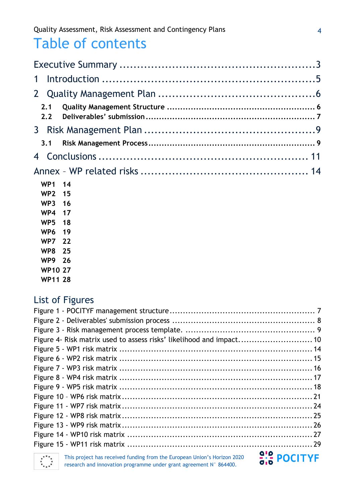# Table of contents

| $\mathbf 1$          |    |  |
|----------------------|----|--|
|                      |    |  |
| 2.1<br>$2.2^{\circ}$ |    |  |
|                      |    |  |
| 3.1                  |    |  |
|                      |    |  |
|                      |    |  |
| WP1 14               |    |  |
| WP2 15               |    |  |
| WP3 16               |    |  |
| WP4                  | 17 |  |
| WP <sub>5</sub>      | 18 |  |
| WP <sub>6</sub>      | 19 |  |
|                      |    |  |

- **WP7 22 WP8 25**
- **WP9 26**
- **WP10 27**
- **WP11 28**

# List of Figures

| Figure 4- Risk matrix used to assess risks' likelihood and impact 10                                                                           |                    |
|------------------------------------------------------------------------------------------------------------------------------------------------|--------------------|
|                                                                                                                                                |                    |
|                                                                                                                                                |                    |
|                                                                                                                                                |                    |
|                                                                                                                                                |                    |
|                                                                                                                                                |                    |
|                                                                                                                                                |                    |
|                                                                                                                                                |                    |
|                                                                                                                                                |                    |
|                                                                                                                                                |                    |
|                                                                                                                                                |                    |
|                                                                                                                                                |                    |
| This project has received funding from the European Union's Horizon 2020<br>research and innovation programme under grant agreement N° 864400. | <b>alp POCITYF</b> |

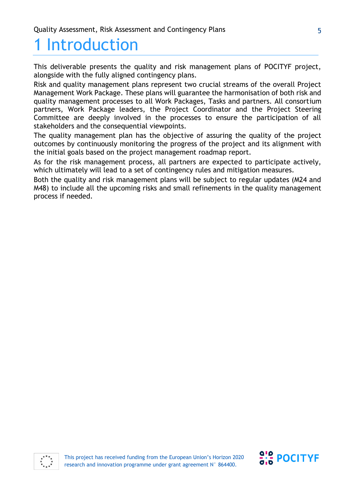# 1 Introduction

This deliverable presents the quality and risk management plans of POCITYF project, alongside with the fully aligned contingency plans.

Risk and quality management plans represent two crucial streams of the overall Project Management Work Package. These plans will guarantee the harmonisation of both risk and quality management processes to all Work Packages, Tasks and partners. All consortium partners, Work Package leaders, the Project Coordinator and the Project Steering Committee are deeply involved in the processes to ensure the participation of all stakeholders and the consequential viewpoints.

The quality management plan has the objective of assuring the quality of the project outcomes by continuously monitoring the progress of the project and its alignment with the initial goals based on the project management roadmap report.

As for the risk management process, all partners are expected to participate actively, which ultimately will lead to a set of contingency rules and mitigation measures.

Both the quality and risk management plans will be subject to regular updates (M24 and M48) to include all the upcoming risks and small refinements in the quality management process if needed.



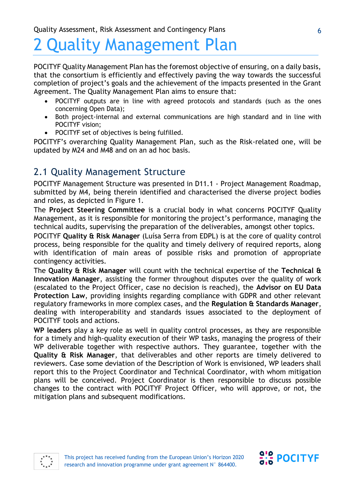# 2 Quality Management Plan

POCITYF Quality Management Plan has the foremost objective of ensuring, on a daily basis, that the consortium is efficiently and effectively paving the way towards the successful completion of project's goals and the achievement of the impacts presented in the Grant Agreement. The Quality Management Plan aims to ensure that:

- POCITYF outputs are in line with agreed protocols and standards (such as the ones concerning Open Data);
- Both project-internal and external communications are high standard and in line with POCITYF vision;
- POCITYF set of objectives is being fulfilled.

POCITYF's overarching Quality Management Plan, such as the Risk-related one, will be updated by M24 and M48 and on an ad hoc basis.

# 2.1 Quality Management Structure

POCITYF Management Structure was presented in D11.1 - Project Management Roadmap, submitted by M4, being therein identified and characterised the diverse project bodies and roles, as depicted in [Figure 1.](#page-6-0)

The **Project Steering Committee** is a crucial body in what concerns POCITYF Quality Management, as it is responsible for monitoring the project's performance, managing the technical audits, supervising the preparation of the deliverables, amongst other topics.

POCITYF **Quality & Risk Manager** (Luísa Serra from EDPL) is at the core of quality control process, being responsible for the quality and timely delivery of required reports, along with identification of main areas of possible risks and promotion of appropriate contingency activities.

The **Quality & Risk Manager** will count with the technical expertise of the **Technical & Innovation Manager**, assisting the former throughout disputes over the quality of work (escalated to the Project Officer, case no decision is reached), the **Advisor on EU Data Protection Law**, providing insights regarding compliance with GDPR and other relevant regulatory frameworks in more complex cases, and the **Regulation & Standards Manager**, dealing with interoperability and standards issues associated to the deployment of POCITYF tools and actions.

**WP leaders** play a key role as well in quality control processes, as they are responsible for a timely and high-quality execution of their WP tasks, managing the progress of their WP deliverable together with respective authors. They guarantee, together with the **Quality & Risk Manager**, that deliverables and other reports are timely delivered to reviewers. Case some deviation of the Description of Work is envisioned, WP leaders shall report this to the Project Coordinator and Technical Coordinator, with whom mitigation plans will be conceived. Project Coordinator is then responsible to discuss possible changes to the contract with POCITYF Project Officer, who will approve, or not, the mitigation plans and subsequent modifications.



This project has received funding from the European Union's Horizon 2020 research and innovation programme under grant agreement N° 864400.

 $\frac{9!}{9!6}$  POCITYF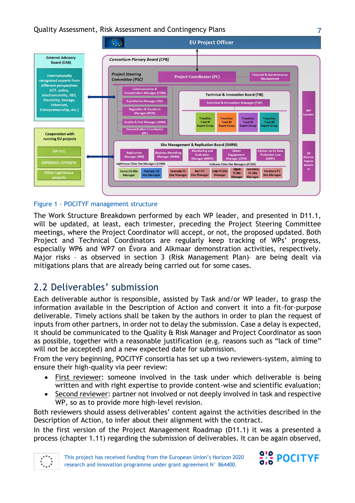

#### <span id="page-6-0"></span>Figure 1 - POCITYF management structure

The Work Structure Breakdown performed by each WP leader, and presented in D11.1, will be updated, at least, each trimester, preceding the Project Steering Committee meetings, where the Project Coordinator will accept, or not, the proposed updated. Both Project and Technical Coordinators are regularly keep tracking of WPs' progress, especially WP6 and WP7 on Évora and Alkmaar demonstration activities, respectively. Major risks – as observed in section 3 [\(Risk Management Plan\)](#page-8-0)– are being dealt via mitigations plans that are already being carried out for some cases.

# 2.2 Deliverables' submission

Each deliverable author is responsible, assisted by Task and/or WP leader, to grasp the information available in the Description of Action and convert it into a fit-for-purpose deliverable. Timely actions shall be taken by the authors in order to plan the request of inputs from other partners, in order not to delay the submission. Case a delay is expected, it should be communicated to the Quality & Risk Manager and Project Coordinator as soon as possible, together with a reasonable justification (e.g. reasons such as "lack of time" will not be accepted) and a new expected date for submission.

From the very beginning, POCITYF consortia has set up a two reviewers-system, aiming to ensure their high-quality via peer review:

- First reviewer: someone involved in the task under which deliverable is being written and with right expertise to provide content-wise and scientific evaluation;
- Second reviewer: partner not involved or not deeply involved in task and respective WP, so as to provide more high-level revision.

Both reviewers should assess deliverables' content against the activities described in the Description of Action, to infer about their alignment with the contract.

In the first version of the Project Management Roadmap (D11.1) it was a presented a process (chapter 1.11) regarding the submission of deliverables. It can be again observed,





7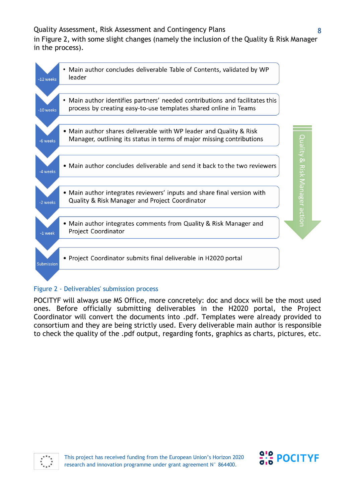Quality Assessment, Risk Assessment and Contingency Plans in [Figure 2,](#page-7-0) with some slight changes (namely the inclusion of the Quality & Risk Manager in the process).



#### <span id="page-7-0"></span>Figure 2 - Deliverables' submission process

POCITYF will always use MS Office, more concretely: doc and docx will be the most used ones. Before officially submitting deliverables in the H2020 portal, the Project Coordinator will convert the documents into .pdf. Templates were already provided to consortium and they are being strictly used. Every deliverable main author is responsible to check the quality of the .pdf output, regarding fonts, graphics as charts, pictures, etc.

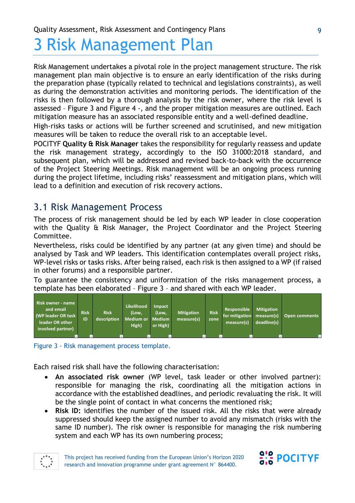# <span id="page-8-0"></span>3 Risk Management Plan

Risk Management undertakes a pivotal role in the project management structure. The risk management plan main objective is to ensure an early identification of the risks during the preparation phase (typically related to technical and legislations constraints), as well as during the demonstration activities and monitoring periods. The identification of the risks is then followed by a thorough analysis by the risk owner, where the risk level is assessed – Figure 3 and Figure 4 -, and the proper mitigation measures are outlined. Each mitigation measure has an associated responsible entity and a well-defined deadline.

High-risks tasks or actions will be further screened and scrutinised, and new mitigation measures will be taken to reduce the overall risk to an acceptable level.

POCITYF **Quality & Risk Manager** takes the responsibility for regularly reassess and update the risk management strategy, accordingly to the ISO 31000:2018 standard, and subsequent plan, which will be addressed and revised back-to-back with the occurrence of the Project Steering Meetings. Risk management will be an ongoing process running during the project lifetime, including risks' reassessment and mitigation plans, which will lead to a definition and execution of risk recovery actions.

# 3.1 Risk Management Process

The process of risk management should be led by each WP leader in close cooperation with the Quality & Risk Manager, the Project Coordinator and the Project Steering Committee.

Nevertheless, risks could be identified by any partner (at any given time) and should be analysed by Task and WP leaders. This identification contemplates overall project risks, WP-level risks or tasks risks. After being raised, each risk is then assigned to a WP (if raised in other forums) and a responsible partner.

To guarantee the consistency and uniformization of the risks management process, a template has been elaborated – Figure 3 – and shared with each WP leader.



Figure 3 - Risk management process template.

Each raised risk shall have the following characterisation:

- **An associated risk owner** (WP level, task leader or other involved partner): responsible for managing the risk, coordinating all the mitigation actions in accordance with the established deadlines, and periodic revaluating the risk. It will be the single point of contact in what concerns the mentioned risk;
- **Risk ID:** identifies the number of the issued risk. All the risks that were already suppressed should keep the assigned number to avoid any mismatch (risks with the same ID number). The risk owner is responsible for managing the risk numbering system and each WP has its own numbering process;



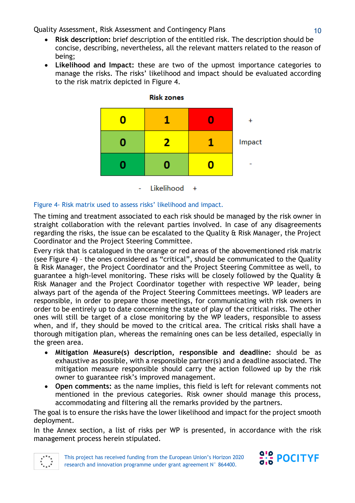- **Risk description:** brief description of the entitled risk. The description should be concise, describing, nevertheless, all the relevant matters related to the reason of being;
- **Likelihood and Impact:** these are two of the upmost importance categories to manage the risks. The risks' likelihood and impact should be evaluated according to the risk matrix depicted in [Figure 4.](#page-9-0)



#### **Risk zones**

<span id="page-9-0"></span>Figure 4- Risk matrix used to assess risks' likelihood and impact.

The timing and treatment associated to each risk should be managed by the risk owner in straight collaboration with the relevant parties involved. In case of any disagreements regarding the risks, the issue can be escalated to the Quality & Risk Manager, the Project Coordinator and the Project Steering Committee.

Every risk that is catalogued in the orange or red areas of the abovementioned risk matrix (see Figure 4) – the ones considered as "critical", should be communicated to the Quality & Risk Manager, the Project Coordinator and the Project Steering Committee as well, to guarantee a high-level monitoring. These risks will be closely followed by the Quality & Risk Manager and the Project Coordinator together with respective WP leader, being always part of the agenda of the Project Steering Committees meetings. WP leaders are responsible, in order to prepare those meetings, for communicating with risk owners in order to be entirely up to date concerning the state of play of the critical risks. The other ones will still be target of a close monitoring by the WP leaders, responsible to assess when, and if, they should be moved to the critical area. The critical risks shall have a thorough mitigation plan, whereas the remaining ones can be less detailed, especially in the green area.

- **Mitigation Measure(s) description, responsible and deadline:** should be as exhaustive as possible, with a responsible partner(s) and a deadline associated. The mitigation measure responsible should carry the action followed up by the risk owner to guarantee risk's improved management.
- **Open comments:** as the name implies, this field is left for relevant comments not mentioned in the previous categories. Risk owner should manage this process, accommodating and filtering all the remarks provided by the partners.

The goal is to ensure the risks have the lower likelihood and impact for the project smooth deployment.

In the Annex section, a list of risks per WP is presented, in accordance with the risk management process herein stipulated.



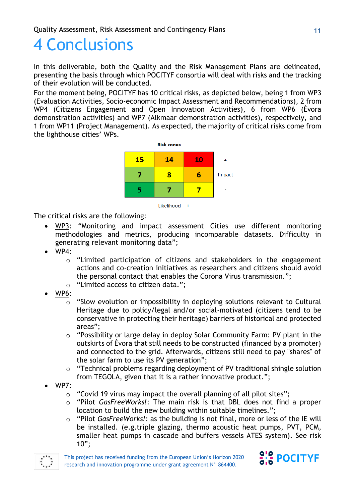# 4 Conclusions

In this deliverable, both the Quality and the Risk Management Plans are delineated, presenting the basis through which POCITYF consortia will deal with risks and the tracking of their evolution will be conducted.

For the moment being, POCITYF has 10 critical risks, as depicted below, being 1 from WP3 (Evaluation Activities, Socio-economic Impact Assessment and Recommendations), 2 from WP4 (Citizens Engagement and Open Innovation Activities), 6 from WP6 (Évora demonstration activities) and WP7 (Alkmaar demonstration activities), respectively, and 1 from WP11 (Project Management). As expected, the majority of critical risks come from the lighthouse cities' WPs.



- Likelihood +

The critical risks are the following:

- WP3: "Monitoring and impact assessment Cities use different monitoring methodologies and metrics, producing incomparable datasets. Difficulty in generating relevant monitoring data";
- WP4:
	- o "Limited participation of citizens and stakeholders in the engagement actions and co-creation initiatives as researchers and citizens should avoid the personal contact that enables the Corona Virus transmission.";
	- o "Limited access to citizen data.";
- WP6:
	- o "Slow evolution or impossibility in deploying solutions relevant to Cultural Heritage due to policy/legal and/or social-motivated (citizens tend to be conservative in protecting their heritage) barriers of historical and protected areas";
	- o "Possibility or large delay in deploy Solar Community Farm: PV plant in the outskirts of Évora that still needs to be constructed (financed by a promoter) and connected to the grid. Afterwards, citizens still need to pay "shares" of the solar farm to use its PV generation";
	- o "Technical problems regarding deployment of PV traditional shingle solution from TEGOLA, given that it is a rather innovative product.";
- WP7:
	- o "Covid 19 virus may impact the overall planning of all pilot sites";
	- o "Pilot *GasFreeWorks!*: The main risk is that DBL does not find a proper location to build the new building within suitable timelines.";
	- o "Pilot *GasFreeWorks!*: as the building is not final, more or less of the IE will be installed. (e.g.triple glazing, thermo acoustic heat pumps, PVT, PCM, smaller heat pumps in cascade and buffers vessels ATES system). See risk 10";



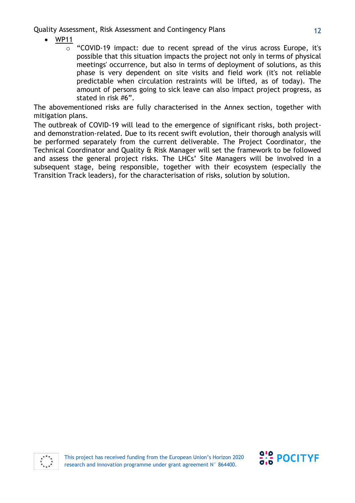- WP11
	- $\circ$  "COVID-19 impact: due to recent spread of the virus across Europe, it's possible that this situation impacts the project not only in terms of physical meetings' occurrence, but also in terms of deployment of solutions, as this phase is very dependent on site visits and field work (it's not reliable predictable when circulation restraints will be lifted, as of today). The amount of persons going to sick leave can also impact project progress, as stated in risk #6".

The abovementioned risks are fully characterised in the Annex section, together with mitigation plans.

The outbreak of COVID-19 will lead to the emergence of significant risks, both projectand demonstration-related. Due to its recent swift evolution, their thorough analysis will be performed separately from the current deliverable. The Project Coordinator, the Technical Coordinator and Quality & Risk Manager will set the framework to be followed and assess the general project risks. The LHCs' Site Managers will be involved in a subsequent stage, being responsible, together with their ecosystem (especially the Transition Track leaders), for the characterisation of risks, solution by solution.



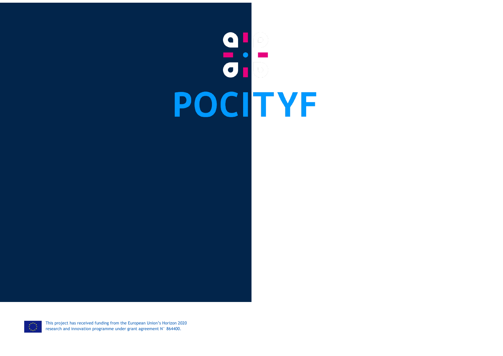# POCITYF

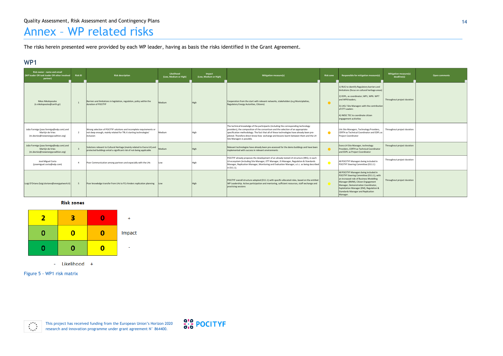This project has received funding from the European Union's Horizon 2020 research and innovation programme under grant agreement N° 864400.



# Annex – WP related risks

The risks herein presented were provided by each WP leader, having as basis the risks identified in the Grant Agreement.

# WP1

Figure 5 - WP1 risk matrix



| Risk owner - name and email<br>(WP leader OR task leader OR other involved<br>partner)            | <b>Risk ID</b> | <b>Risk description</b>                                                                                                                                  | Likelihood<br>(Low, Medium or High) | Impact<br>(Low, Medium or High) | <b>Mitigation measure(s)</b>                                                                                                                                                                                                                                                                                                                                                                  | <b>Risk zone</b> | Responsible for mitigation measure(s)                                                                                                                                                                                                                                                                 | <b>Mitigation measure(s)</b><br>deadline(s) | Open comments |
|---------------------------------------------------------------------------------------------------|----------------|----------------------------------------------------------------------------------------------------------------------------------------------------------|-------------------------------------|---------------------------------|-----------------------------------------------------------------------------------------------------------------------------------------------------------------------------------------------------------------------------------------------------------------------------------------------------------------------------------------------------------------------------------------------|------------------|-------------------------------------------------------------------------------------------------------------------------------------------------------------------------------------------------------------------------------------------------------------------------------------------------------|---------------------------------------------|---------------|
| <b>Nikos Nikolopoulos</b><br>(n.nikolopoulos@certh.gr)                                            |                | Barriers and limitations in legislation, regulation, policy within the<br>duration of POCITYF                                                            | Medium                              | <b>High</b>                     | Cooperation from the start with relevant networks, stakeholders (e.g Municiplaities,<br>Regulatory Energy Autorities, Citizens)                                                                                                                                                                                                                                                               | $\bullet$        | 1) RUG to identify Regulatory barriers and<br>limitations (focus on cultural heritage areas)<br>2) EDPL, as coordinator; WP1, WP6. WP7<br>and WP8 leaders;<br>3) LHCs' Site Managers with the contribution<br>of ETT Leaders<br>4) INESC TEC to coordinate citizen<br>engagement acitivities          | Throughout project duration                 |               |
| João Formiga (joao.formiga@edp.com) and<br>Martijn de Vries<br>(m.devries@newenergycoalition.org) | $\overline{2}$ | Wrong selection of POCITYF solutions and incomplete requirements or<br>not deep enough, mainly related for TRL 6 starting technologies'<br>inclusion     | Medium                              | High                            | The technical knowledge of the participants (including the corresponding technology<br>providers), the composition of the consortium and the selection of an appropriate<br>specification methodology. The fact that all of these technologies have already been pre-<br>piloted. Therefore direct know-how exchange and lessons learnt between them and the LH<br>Site Managers is possible. | $\bullet$        | LHs Site Managers, Technology Providers,<br>CERTH as Technical Coordinator and EDPL as<br>Project Coordinator                                                                                                                                                                                         | Throughout project duration                 |               |
| João Formiga (joao.formiga@edp.com) and<br>Martijn de Vries<br>(m.devries@newenergycoalition.org) |                | Solutions relevant to Cultural Heritage (mainly related to Evora LH) and Medium<br>protected buildings entail a significant risk of not-being applicable |                                     |                                 | Relevant technologies have already been pre-assessed for the demo buildings and have been<br>implemented with success in relevant environments                                                                                                                                                                                                                                                |                  | Evora LH Site Manager, technology<br>Providers, CERTH as Technical Coordinator<br>and EDPL as Project Coordinator                                                                                                                                                                                     | Throughout project duration                 |               |
| José Miguel Costa<br>(josemiguel.costa@edp.com)                                                   | $\overline{4}$ | Poor Communication among partners and especially with the LHs                                                                                            | Low                                 |                                 | POCITYF already proposes the development of an already tested LH structure (IRIS), in each<br>LH ecosystem (including Site Manager, ETT Manager, IS Manager, Regulation & Standards<br>Manager, Replication Manager, Monitoring and Evaluation Manager, e.t.c. as being described<br>in D11.1).                                                                                               |                  | All POCITYF Managers being included in<br>POCITYF Steering Committee (D11.1)                                                                                                                                                                                                                          | Throughout project duration                 |               |
| Luigi D'Oriano (luigi.doriano@energyatwork.it)                                                    |                | Poor knowledge transfer from LHs to FCs hinders replication planning                                                                                     | Low                                 | High                            | POCITYF overall structure adopted (D11.1) with specific allocated roles, based on the entitled<br>WP Leadership. Active participation and mentoring, sufficient resources, staff exchange and<br>practicing sessions                                                                                                                                                                          |                  | All POCITYF Managers being included in<br>POCITYF Steering Committee (D11.1), with<br>an increased role of Business Modelling<br>Manager (BMM), Citizen Engagement<br>Manager, Demonstration Coordinator,<br>Exploitation Manager (EM), Regulation &<br>Standards Manager and Replication<br>Manager. | Throughout project duration                 |               |

#### **Risk zones**

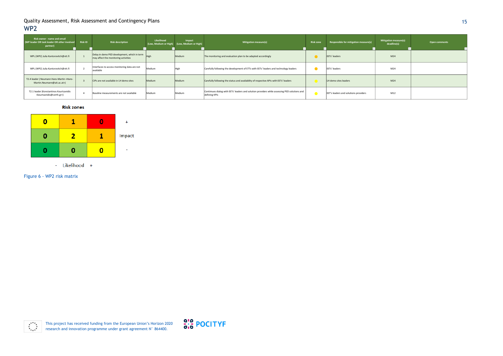



#### 15

Figure 6 - WP2 risk matrix

 $*^{***}_{*}$ <br>  $*^{***}_{*}$ 

| Risk owner - name and email<br>(WP leader OR task leader OR other involved<br>partner)     | <b>Risk ID</b> | <b>Risk description</b>                                                              | Likelihood | Impact<br>(Low, Medium or High) (Low, Medium or High) | Mitigation measure(s)                                                                                         | <b>Risk zone</b> | Responsible for mitigation measure(s) | Mitigation measure(s)<br>deadline(s) | <b>Open comments</b> |
|--------------------------------------------------------------------------------------------|----------------|--------------------------------------------------------------------------------------|------------|-------------------------------------------------------|---------------------------------------------------------------------------------------------------------------|------------------|---------------------------------------|--------------------------------------|----------------------|
| WPL (WP2) Julia Kantorovitch@vtt.fi                                                        |                | Delay in demo PED development, which in term<br>may affect the monitoring activities | High       | Medium                                                | The monitoring and evaluation plan to be adapted accordingly                                                  |                  | EETs' leaders                         | M <sub>24</sub>                      |                      |
| WPL (WP2) Julia Kantorovitch@vtt.fi                                                        |                | Interfaces to access monitoring data are not<br>available                            | Medium     | High                                                  | Carefully following the development of ETTs with EETs' leaders and technology leaders                         | $\bullet$        | EETs' leaders                         | M24                                  |                      |
| T2.4 leader (Neumann Hans-Martin <hans-<br>Martin.Neumann@ait.ac.at&gt;)</hans-<br>        |                | ICIPs are not available in LH demo sites                                             | Medium     | Medium                                                | Carefully following the status and availability of respective APIs with EETs' leaders                         |                  | LH demo sites leaders                 | M <sub>24</sub>                      |                      |
| T2.1 leader (Konstantinos Kourtzanidis<br><kourtzanidis@certh.gr>)</kourtzanidis@certh.gr> |                | Baseline measurements are not available                                              | Medium     | Medium                                                | Contimues dialog with EETs' leaders and solution providers while assessing PED solutions and<br>defining KPIs |                  | EET's leaders and solutions providers | M12                                  |                      |

**Risk zones** 

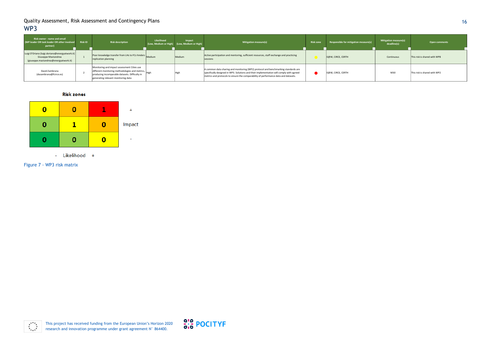

#### 16

Figure 7 - WP3 risk matrix



| Risk owner - name and email<br>(WP leader OR task leader OR other involved<br>partner)                         | <b>Risk ID</b> | <b>Risk description</b>                                                                                                                                                                 | Likelihood | Impact<br>(Low, Medium or High) (Low, Medium or High) | <b>Mitigation measure(s)</b>                                                                                                                                                                                                                                          | <b>Risk zone</b> | Responsible for mitigation measure(s) | <b>Mitigation measure(s)</b><br>deadline(s) | Open comments                |
|----------------------------------------------------------------------------------------------------------------|----------------|-----------------------------------------------------------------------------------------------------------------------------------------------------------------------------------------|------------|-------------------------------------------------------|-----------------------------------------------------------------------------------------------------------------------------------------------------------------------------------------------------------------------------------------------------------------------|------------------|---------------------------------------|---------------------------------------------|------------------------------|
| Luigi D'Oriano (luigi.doriano@energyatwork.it)<br>Giuseppe Mastandrea<br>(giuseppe.mastandrea@energyatwork.it) |                | Poor knowledge transfer from LHs to FCs hinders Medium<br>replication planning                                                                                                          |            | Medium                                                | Active participation and mentoring, sufficient resources, staff exchange and practicing<br>sessions                                                                                                                                                                   |                  | E@W, CIRCE, CERTH                     | Continuous                                  | This risk is shared with WP8 |
| David Zambrana<br>(dazambrana@fcirce.es)                                                                       |                | Monitoring and impact assessment Cities use<br>different monitoring methodologies and metrics,<br>producing incomparable datasets. Difficulty in<br>generating relevant monitoring data |            | High                                                  | A common data sharing and monitoring (WP2) protocol and benchmarking standards are<br>specifically designed in WP3. Solutions and their implementation will comply with agreed<br>metrics and protocols to ensure the comparability of performance data and datasets. |                  | E@W, CIRCE, CERTH                     | M30                                         | This risk is shared with WP2 |

#### **Risk zones**

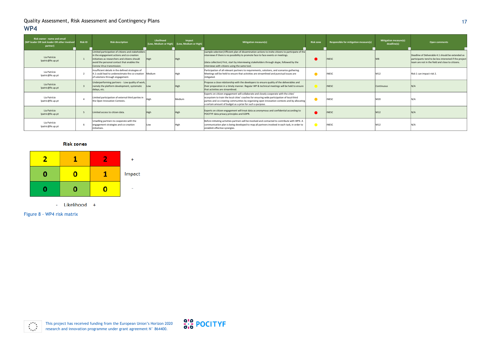This project has received funding from the European Union's Horizon 2020 research and innovation programme under grant agreement N° 864400.



## 17

Figure 8 - WP4 risk matrix



| Risk owner - name and email<br>(WP leader OR task leader OR other involved<br>partner) | <b>Risk ID</b> | <b>Risk description</b>                                                                                                                                                                                                        | Likelihood<br>(Low, Medium or High) | Impact<br>(Low, Medium or High) | Mitigation measure(s)                                                                                                                                                                                                                                                                                                                             | <b>Risk zone</b> | Responsible for mitigation measure(s) | <b>Mitigation measure(s)</b><br>deadline(s) | <b>Open comments</b>                                                                                                                                            |
|----------------------------------------------------------------------------------------|----------------|--------------------------------------------------------------------------------------------------------------------------------------------------------------------------------------------------------------------------------|-------------------------------------|---------------------------------|---------------------------------------------------------------------------------------------------------------------------------------------------------------------------------------------------------------------------------------------------------------------------------------------------------------------------------------------------|------------------|---------------------------------------|---------------------------------------------|-----------------------------------------------------------------------------------------------------------------------------------------------------------------|
| Lia Patrício<br>lpatric@fe.up.pt                                                       |                | Limited participation of citizens and stakeholders<br>in the engagement actions and co-creation<br>initiatives as researchers and citizens should<br>avoid the personal contact that enables the<br>Corona Virus transmission. |                                     | High                            | (sample selection) Efficient plan of dissemination actions to invite citizens to participate of the<br>interviews if there is no possibility to promote face to face events or meetings.<br>(data collection) First, start by interviewing stakeholders through skype, followed by the<br>interviews with citizens using the same tool.           |                  | <b>INESC</b>                          |                                             | Deadline of Deliverable 4.1 should be extended as<br>participants tend to be less interested if the project<br>team are not in the field and close to citizens. |
| Lia Patrício<br>lpatric@fe.up.pt                                                       |                | Insufficient details in the defined strategies of<br>4.1 could lead to underestimate the co-creation Medium<br>of solutions through engagement.                                                                                |                                     | ligh                            | Participation of all relevant partners to requirements, solutions, and scenarios gathering.<br>Meetings will be held to ensure that activities are streamlined and punctual issues are<br>mitigated.                                                                                                                                              |                  | <b>INESC</b>                          | M12                                         | Risk 1 can impact risk 2.                                                                                                                                       |
| Lia Patrício<br>lpatric@fe.up.pt                                                       |                | Underperforming partners - Low quality of work,<br>namely the platform development, systematic<br>delays, etc.                                                                                                                 | Low                                 | High                            | Propose a close relationship with the developers to ensure quality of the deliverables and<br>their preparation in a timely manner. Regular WP & technical meetings will be held to ensure<br>that activities are streamlined.                                                                                                                    |                  | <b>INESC</b>                          | <b>Continuous</b>                           | N/A                                                                                                                                                             |
| Lia Patrício<br>lpatric@fe.up.pt                                                       |                | Limited participation of external third parties in<br>the Open Innovation Contests.                                                                                                                                            |                                     | Medium                          | Experts on citizen engagement will collaborate and closely cooperate with the cities'<br>ecosystem to train the local cities' coaches for ensuring wide participation of local third<br>parties and co-creating communities by organizing open innovation contests and by allocating<br>a certain amount of budget as a prize for such a purpose. |                  | <b>INESC</b>                          | M20                                         | N/A                                                                                                                                                             |
| Lia Patrício<br>lpatric@fe.up.pt                                                       |                | Limited access to citizen data.                                                                                                                                                                                                |                                     | High                            | Experts on citizen engagement will treat data as anonymous and confidential according to<br>POCITYF data privacy principles and GDPR.                                                                                                                                                                                                             |                  | <b>INESC</b>                          | M12                                         | N/A                                                                                                                                                             |
| Lia Patrício<br>lpatric@fe.up.pt                                                       |                | Unwilling partners to cooperate with the<br>engagement strategies and co-creation<br>initiatives.                                                                                                                              | Low                                 |                                 | Before initiating activities partners will be involved and contacted to contribute with WP4. A<br>communication plan is being developed to map all partners involved in each task, in order to<br>establish effective synergies.                                                                                                                  |                  | <b>INESC</b>                          | M12                                         | N/A                                                                                                                                                             |

#### **Risk zones**

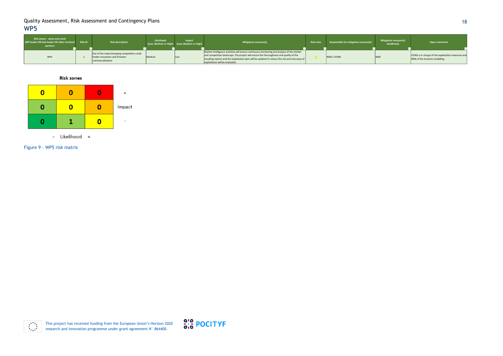> This project has received funding from the European Union's Horizon 2020 research and innovation programme under grant agreement N° 864400.



## 18

Figure 9 - WP5 risk matrix



| <b>Risk owner - name and email</b><br>(WP leader OR task leader OR other involved Risk ID<br>partner) | <b>Risk description</b>                                                                            | Likelihood | Impact<br>(Low, Medium or High) (Low, Medium or High) | <b>Mitigation measure(s)</b>                                                                                                                                                                                                                                                                                                       | Risk zone Responsible for mitigation measure(s) | <b>Mitigation measure(s)</b><br>deadline(s) | Open comments                                                                         |
|-------------------------------------------------------------------------------------------------------|----------------------------------------------------------------------------------------------------|------------|-------------------------------------------------------|------------------------------------------------------------------------------------------------------------------------------------------------------------------------------------------------------------------------------------------------------------------------------------------------------------------------------------|-------------------------------------------------|---------------------------------------------|---------------------------------------------------------------------------------------|
| WP5                                                                                                   | Out of the radar/emerging competition could<br>hinder innovation and threaten<br>commercialization | Medium     |                                                       | Market intelligence activities will ensure continuous monitoring and analysis of the market<br>and competition landscape. The project will ensure the thoroughness and quality of the<br>resulting reports and the exploitation plan will be updated to reduce the risk and new ways of $\vert$<br>exploitation will be evaluated. | RINA / ICONS                                    | M60                                         | ICONS is in charge of the exploitation measures and<br>RINA of the business modelling |

**Risk zones** 

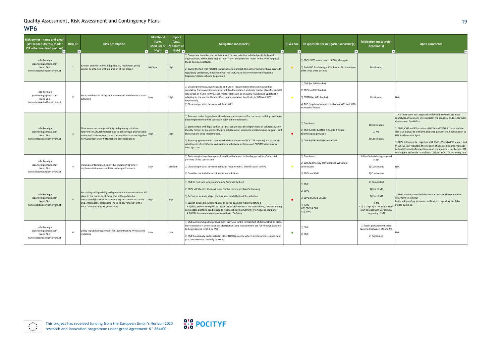

## 19

| Risk owner - name and email<br>(WP leader OR task leader<br>OR other involved partner) | <b>Risk ID</b>          | <b>Risk description</b>                                                                                                                                                                                                                                                                     | Likelihood<br>(Low,<br>Medium or<br>High) $\Box$ | Impact<br>(Low,<br>Vledium oı<br>High) $\Box$ | Mitigation measure(s)                                                                                                                                                                                                                                                                                                                                                                                                                                                                                                                                                                      |           | Risk zone Responsible for mitigation measure(s)                                                                                                         | <b>Mitigation measure(s)</b><br>deadline(s)                                                                                                      | <b>Open comments</b>                                                                                                                                                                                                                                                                                                                                                                                                                                                                                                                                                                                                  |
|----------------------------------------------------------------------------------------|-------------------------|---------------------------------------------------------------------------------------------------------------------------------------------------------------------------------------------------------------------------------------------------------------------------------------------|--------------------------------------------------|-----------------------------------------------|--------------------------------------------------------------------------------------------------------------------------------------------------------------------------------------------------------------------------------------------------------------------------------------------------------------------------------------------------------------------------------------------------------------------------------------------------------------------------------------------------------------------------------------------------------------------------------------------|-----------|---------------------------------------------------------------------------------------------------------------------------------------------------------|--------------------------------------------------------------------------------------------------------------------------------------------------|-----------------------------------------------------------------------------------------------------------------------------------------------------------------------------------------------------------------------------------------------------------------------------------------------------------------------------------------------------------------------------------------------------------------------------------------------------------------------------------------------------------------------------------------------------------------------------------------------------------------------|
| João Formiga<br>joao.formiga@edp.com<br>Nuno Bilo<br>nuno.choraobilo@cm-evora.pt       | $\mathbf{1}$            | Barriers and limitations in legislation, regulation, policy<br>cannot be affected within duration of the project                                                                                                                                                                            | Medium                                           | High                                          | 1) Cooperate from the start with relevant networks (other selected projects, branch<br>organisations, EUROCITIES etc), to learn from similar lessons learnt and ways to surpasse<br>these possible obstacles<br>2) Giving the fact that POCITYF is an innovation project, the consortium may have access to<br>regulatory sandboxes, in case of need. For that, an ad-hoc involvement of National<br>Regulatory Bodies should be pursued                                                                                                                                                   | $\bullet$ | 1) EDPL (WP9 leader) and LHC Site Managers<br>2) Each LHC Site Manager Continuous No short-term<br>next steps were defined                              | Continuous                                                                                                                                       |                                                                                                                                                                                                                                                                                                                                                                                                                                                                                                                                                                                                                       |
| João Formiga<br>joao.formiga@edp.com<br>Nuno Bilo<br>nuno.choraobilo@cm-evora.pt       | $\overline{2}$          | Poor coordination of the implementation and demonstration<br>activities                                                                                                                                                                                                                     |                                                  | High                                          | 1) Detailed technical, business and end-users' requirements elicitation as well as<br>regulatory framework investigation will lead to detailed and solid master plans for each LH<br>city across all 4 ETTs in WP1. Such master plans will be annually revised and updated by<br>adapting to the on-the-fly identified implementation deadlocks in WP6 and WP7<br>respectively.<br>2) Close cooperation between WP6 and WP1                                                                                                                                                                | $\bullet$ | 1) CME (as WP6 leader)<br>2) EDPL (as T6.2 leader)<br>3) CERTH (as WP1 leader)<br>4) RUG (regulatory expert) and other WP1 and WP6<br>main contributors | Continuous                                                                                                                                       | N/A                                                                                                                                                                                                                                                                                                                                                                                                                                                                                                                                                                                                                   |
| João Formiga<br>joao.formiga@edp.com<br>Nuno Bilo<br>nuno.choraobilo@cm-evora.pt       | $\overline{\mathbf{3}}$ | Slow evolution or impossibility in deploying solutions<br>relevant to Cultural Heritage due to policy/legal and/or social-<br>motivated (citizens tend to be conservative in protecting their<br>heritage) barriers of historical and protected areas                                       |                                                  | High                                          | .) Relevant technologies have already been pre-assessed for the demo buildings and have<br>been implemented with success in relevant environments<br>2) Start contact with legal authorities that can prevent the deployment of solutions within<br>the city centre, by presenting the project (its social, economic and technological gains) and<br>the solutions to be implemented<br>3) Start engagement with citizens (which is at the core of POCITYF anyhow) and establish<br>relationship of confidence and excitement between citizens and POCITYF solutions for<br>heritage sites | $\bullet$ | 1) Concluded<br>2) CME & EDPL & ONYX & Tegola & Other<br>technological providers<br>3) CME & EDPL & INESC and ICONS                                     | 1) Continuous<br>2) M6<br>3) Continuous                                                                                                          | 1) No short-term next steps were defined. WP1 will promote<br>reanalysis of solutions envisioned in the proposal and assess their<br>deployment feasibility<br>2) EDPL, CME and PV providers (ONYX and TEGOLA) have had the<br>site visit alongside with DRC and shall present the final solution to<br>DRC by the end of April<br>3) EDPL will promote, together with CME, ICONS (WP10 leader) and<br>INESCTEC (WP4 leader), the creation of a social-oriented message<br>to be delivered to Évora citizens and communities, until end of M8,<br>to mitigate a possible lack of trust towards POCITYF and worry that |
| João Formiga<br>joao.formiga@edp.com<br>Nuno Bilo<br>nuno.choraobilo@cm-evora.pt       | $\overline{4}$          | Inclusion of technologies of TRL6 endangering timely<br>implementation and results in under-performance                                                                                                                                                                                     | .ow                                              | Medium                                        | 1) Technologies have been pre-piloted by all relevant technology providers/industrial<br>partners of the consortium<br>2) Close cooperation between WP6 and requirements' identification in WP1<br>3) Consider the installation of additional solutions                                                                                                                                                                                                                                                                                                                                    | $\bullet$ | 1) Concluded<br>2) WP6 technology providers and WP1 main<br>contributors<br>3) EDPL and CME                                                             | 1) Concluded during proposal<br>stage<br>2) Continuous<br>3) Continuous                                                                          | N/A                                                                                                                                                                                                                                                                                                                                                                                                                                                                                                                                                                                                                   |
| João Formiga<br>joao.formiga@edp.com<br>Nuno Bilo<br>nuno.choraobilo@cm-evora.pt       | 5 <sup>5</sup>          | Possibility or large delay in deploy Solar Community Farm: PV<br>plant in the outskirts of Évora that still needs to be<br>constructed (financed by a promoter) and connected to the<br>grid. Afterwards, citizens still need to pay "shares" of the<br>solar farm to use its PV generation | High                                             | High                                          | 1) CME to find land where community farm will be built<br>2) EDPL will identify the next steps for the community farm's licensing<br>3) Define, at an early stage, the business model behind this solution<br>4) Launch public procurement as soon as the business model is defined<br>4.1) If no promoter expresses the desire to proceed with the investment, a crowdfunding<br>sustainable platform can be used to finance it, such as GoParity (Portuguese company)<br>4.2) EDPL has communication channel with GoParity                                                               | $\bullet$ | ) CME<br>2) EDPL<br>3) EDPL & CME & DECSIS<br>4) CME<br>4.1) EDPL & CME<br>4.2) EDPL                                                                    | 1) Completed<br>2) End of M6<br>3) End of M7<br>4) M8<br>4.1) If steps 4) is not completed,<br>start contact with GoParity by<br>beginning of M7 | 2) EDPL already identified the main actions for the community<br>solar farm's licensing,<br>but is still pending for some clarifications regarding the Solar<br>Plants' auctions.                                                                                                                                                                                                                                                                                                                                                                                                                                     |
| João Formiga<br>joao.formiga@edp.com<br>Nuno Bilo<br>nuno.choraobilo@cm-evora.pt       | 6                       | Delay in public procurement for subcontracting PV solutions<br>nstallers                                                                                                                                                                                                                    | Low                                              | Low                                           | 1) CME will launch public procurement previous to the formal start of demonstration tasks.<br>More concretely, when solutions' descriptions and requirements are fully known (content<br>to be presented in D1.1 by M9)<br>2) CME has already participated in other H2020 projects, where similar processes and best<br>practices were successfully followed                                                                                                                                                                                                                               | $\bullet$ | ) CME<br>2) CME                                                                                                                                         | 1) Public procurement to be<br>launched between M8 and M9<br>2) Concluded                                                                        | N/A                                                                                                                                                                                                                                                                                                                                                                                                                                                                                                                                                                                                                   |

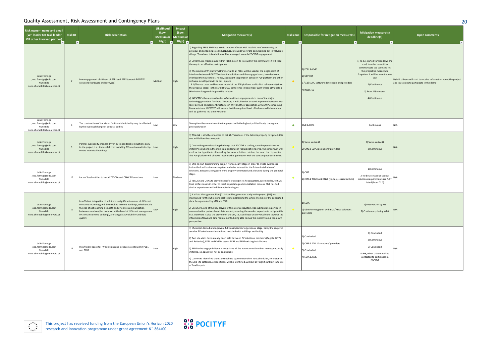

| . .<br>u. | ۰,            |
|-----------|---------------|
|           | ۰.<br>×<br>۰. |

| Risk owner - name and email<br>(WP leader OR task leader<br>OR other involved partner) | <b>Risk ID</b><br>۱. | <b>Risk description</b>                                                                                                                                                                                                                                                                                                                                                         | Likelihood<br>(Low,<br><b>Medium or</b><br>High) | Impact<br>(Low,<br>1edium or<br>High) $\overline{a}$ | <b>Mitigation measure(s)</b>                                                                                                                                                                                                                                                                                                                                                                                                                                                                                                                                                                                                                                                                                                                                                                                                                                                                                                                                                                                                                                                                                                                                                                                                                                                                                                                                                                   |           | Risk zone Responsible for mitigation measure(s)                                             | <b>Mitigation measure(s)</b><br>deadline(s)                                                                                                                                                                                       |               |
|----------------------------------------------------------------------------------------|----------------------|---------------------------------------------------------------------------------------------------------------------------------------------------------------------------------------------------------------------------------------------------------------------------------------------------------------------------------------------------------------------------------|--------------------------------------------------|------------------------------------------------------|------------------------------------------------------------------------------------------------------------------------------------------------------------------------------------------------------------------------------------------------------------------------------------------------------------------------------------------------------------------------------------------------------------------------------------------------------------------------------------------------------------------------------------------------------------------------------------------------------------------------------------------------------------------------------------------------------------------------------------------------------------------------------------------------------------------------------------------------------------------------------------------------------------------------------------------------------------------------------------------------------------------------------------------------------------------------------------------------------------------------------------------------------------------------------------------------------------------------------------------------------------------------------------------------------------------------------------------------------------------------------------------------|-----------|---------------------------------------------------------------------------------------------|-----------------------------------------------------------------------------------------------------------------------------------------------------------------------------------------------------------------------------------|---------------|
| João Formiga<br>joao.formiga@edp.com<br>Nuno Bilo<br>nuno.choraobilo@cm-evora.pt       | $\overline{7}$       | Low engagement of citizens of PEB1 and PEB2 towards POCITYF<br>solutions (hardware and software)                                                                                                                                                                                                                                                                                | Medium                                           | High                                                 | ) Regarding PEB2, EDPL has a solid relation of trust with local citizens' community, as<br>previous and ongoing projects (SENSIBLE, InteGrid) were/are being carried out in Valverde<br>village. Therefore, this relation will be leveraged towards POCITYF engagement<br>2) UEVORA is a major player within PEB2. Given its role within the community, it will lead<br>the way to an effective participation<br>3) The solution P2P platform (transversal to all PEBs) will be used as the single point of<br>interface between POCITYF residential solutions and the engaged users, in order to not<br>overload them with tools. Hence, a constant cooperation between P2P platform and other<br>software developers will be put in place<br>3.1) The use cases and business model of the P2P platform had its first refinement (since<br>the proposal stage) in the SSPCR EURAC conference in December 2019, where EDPL held a<br>90 minutes long workshop on this solution<br>4) INESCTEC - the responsible for WP4 on citizen engagement - is one of the major<br>technology providers for Evora. That way, it will allow for a sound alignment between top-<br>level defined engagement strategies in WP4 and their application within WP6 concerning<br>Evora solutions. INESCTEC will ensure that the required level of behavioural information<br>will be gathered in a timely manner | $\bullet$ | 1) EDPL & CME<br>2) UEVORA<br>3/3.1) EDPL, software developers and providers<br>4) INESCTEC | 1) To-be-started further down the<br>road, in order to avoid to<br>communicate too soon and let<br>the project be meanwhile<br>forgotten. It will be a continuous<br>task<br>2) Continuous<br>3) From M3 onwards<br>4) Continuous | By M<br>and i |
| João Formiga<br>joao.formiga@edp.com<br>Nuno Bilo<br>nuno.choraobilo@cm-evora.pt       | 8                    | The construction of the vision for Évora Municipality may be affected<br>by the eventual change of political bodies                                                                                                                                                                                                                                                             | Low                                              | Low                                                  | Strengthen the commitment to the project with the highest political body, throughout<br>project duration                                                                                                                                                                                                                                                                                                                                                                                                                                                                                                                                                                                                                                                                                                                                                                                                                                                                                                                                                                                                                                                                                                                                                                                                                                                                                       | ٠         | CME & EDPL                                                                                  | Continuous                                                                                                                                                                                                                        | N/A           |
| João Formiga<br>joao.formiga@edp.com<br>Nuno Bilo<br>nuno.choraobilo@cm-evora.pt       | 9                    | Partner availability changes driven by imponderable situations early<br>in the project, i.e., impossibility of installing PV solutions within city- Low<br>centre municipal buildings                                                                                                                                                                                           |                                                  | High                                                 | 1) This risk is strictly connected to risk #1. Therefore, if the latter is properly mitigated, this<br>one will follow the same path<br>2) Due to the groundbreaking challenge that POCITYF is surfing, case the permission to<br>install PV solutions in the municipal buildings of PEB1 is not rendered, the consortium will<br>explore the hypothesis of installing the same solutions outside, but near, the city-centre.<br>The P2P platform will allow to interlink this generation with the consumption within PEB1                                                                                                                                                                                                                                                                                                                                                                                                                                                                                                                                                                                                                                                                                                                                                                                                                                                                     |           | 1) Same as risk #1<br>2) CME & EDPL & solutions' providers                                  | 1) Same as risk #1<br>2) Continuous                                                                                                                                                                                               | N/A           |
| João Formiga<br>joao.formiga@edp.com<br>Nuno Bilo<br>nuno.choraobilo@cm-evora.pt       | 10                   | Lack of local entities to install TEGOLA and ONYX PV solutions                                                                                                                                                                                                                                                                                                                  | Low                                              | Medium                                               | 1) CME to start disseminating project from an early stage in order to create awareness<br>inside the local business ecosystem and raise interest for the future installation of<br>solutions. Subcontracting costs were properly estimated and allocated during the proposal<br>stage.<br>2) TEGOLA and ONYX to provide specific training in its headquarters, case needed, to CME<br>local professionals in order to coach experts to guide installation process. CME has had<br>similar experiences with different technologies.                                                                                                                                                                                                                                                                                                                                                                                                                                                                                                                                                                                                                                                                                                                                                                                                                                                             | $\bullet$ | L) CME<br>2) CME & TEGOLA & ONYX (to-be-assessed ad-hoc)                                    | 1) Continuous<br>2) To be assessed as soon as<br>solutions requirements are fully<br>listed (from D1.1)                                                                                                                           |               |
| João Formiga<br>joao.formiga@edp.com<br>Nuno Bilo<br>nuno.choraobilo@cm-evora.pt       | 11                   | Insufficient integration of solutions: a significant amount of different<br>solutions technology will be installed in some buildings, which entails<br>the risk of not reaching a smooth and effective communication<br>between solutions (for instance, at the level of different management)<br>systems inside one building), affecting data availability and data<br>quality |                                                  | High                                                 | 1) A a Data Management Plan (D11.4) will be generated early in the project (M6) and<br>maintained for the whole project lifetime addressing the whole lifecycle of the generated<br>data, being updated by M24 and M48<br>2) Ubiwhere, one of the key players within Évora ecosystem, has substantial expertise in<br>communication protocols and data models, ensuring the needed expertise to mitigate this<br>risk. Ubiwhere is also the provider of the CIP, so, it will have an universal view towards the<br>information flows and data requirements, being able to map the system from a top-down<br>perspective                                                                                                                                                                                                                                                                                                                                                                                                                                                                                                                                                                                                                                                                                                                                                                        |           | 1) EDPL<br>2) Ubiwhere together with BMS/HEMS solutions'<br>providers                       | 1) First version by M6<br>2) Continuous, during WP6                                                                                                                                                                               | N/A           |
| João Formiga<br>joao.formiga@edp.com<br>Nuno Bilo<br>nuno.choraobilo@cm-evora.pt       | 12                   | Insufficient space for PV solutions and in-house assets within PEB1<br>and PEB2                                                                                                                                                                                                                                                                                                 | Low                                              | High                                                 | 1) Municipal demo buildings were fully analyzed during proposal stage, being the required<br>area for PV solutions estimated and matched with buildings availability<br>2) Two site visits have already been held between PV solutions' providers (Tegola, ONYX<br>and Betteries), EDPL and CME to assess PEB1 and PEB2 existing installations<br>3) PEB2 to-be-engaged clients already have all the hardware within their homes practically<br>installed, so, space will not be an obstacle<br>4) Case PEB1 identified clients do not have space inside their households for, for instance,<br>the 2nd life batteries, other citizens will be identified, without any significant lost in terms<br>of final impacts                                                                                                                                                                                                                                                                                                                                                                                                                                                                                                                                                                                                                                                                           | $\bullet$ | 1) Concluded<br>2) CME & EDPL & solutions' providers<br>3) Concluded<br>4) EDPL & CME       | 1) Concluded<br>2) Continuous<br>3) Concluded<br>4) M8, when citizens will be<br>contacted to participate in<br><b>POCITYF</b>                                                                                                    | N/A           |

 $\begin{array}{cc} \star^{\star\star}\star_{\star} \\ \star_{\star\star}^{\star} \\ \star_{\star\star}^{\star} \end{array}$ 

| ation measure(s)<br>deadline(s)<br>$\overline{\mathbf{v}}$                                                                                                                                  | <b>Open comments</b>                                                                                              |
|---------------------------------------------------------------------------------------------------------------------------------------------------------------------------------------------|-------------------------------------------------------------------------------------------------------------------|
| tarted further down the<br>in order to avoid to<br>nicate too soon and let<br>oject be meanwhile<br>I. It will be a continuous<br>task<br>2) Continuous<br>From M3 onwards<br>4) Continuous | By M8, citizens will start to receive information about the project<br>and invitations to participate in the demo |
| Continuous                                                                                                                                                                                  | N/A                                                                                                               |
| Same as risk #1<br>2) Continuous                                                                                                                                                            | N/A                                                                                                               |
| 1) Continuous<br>e assessed as soon as<br>requirements are fully<br>sted (from D1.1)                                                                                                        | N/A                                                                                                               |
| irst version by M6<br>tinuous, during WP6                                                                                                                                                   | N/A                                                                                                               |
| 1) Concluded<br>2) Continuous<br>3) Concluded<br>when citizens will be<br>cted to participate in<br><b>POCITYF</b>                                                                          | N/A                                                                                                               |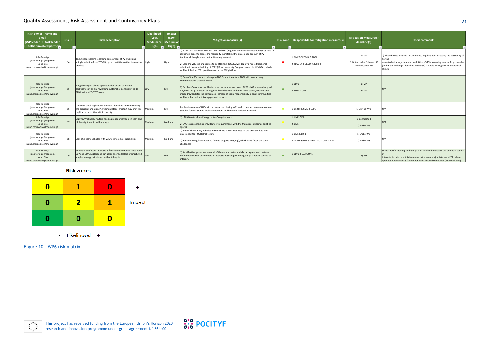This project has received funding from the European Union's Horizon 2020 research and innovation programme under grant agreement N° 864400.



#### 21

Figure 10 – WP6 risk matrix



| Risk owner - name and<br>email<br>(WP leader OR task leader<br>OR other involved partner | <b>Risk ID</b> | <b>Risk description</b>                                                                                                                                                            | Likelihood<br>(Low,<br>Medium or<br>High)<br>$\overline{\phantom{a}}$ | Impact<br>(Low,<br>ledium or<br>High) $\blacksquare$ | <b>Mitigation measure(s)</b>                                                                                                                                                                                                                                                                                                                                                                                                                                                          | Risk zone | Responsible for mitigation measure(s)                   | Mitigation measure(s)<br>deadline(s)                      |                                            |
|------------------------------------------------------------------------------------------|----------------|------------------------------------------------------------------------------------------------------------------------------------------------------------------------------------|-----------------------------------------------------------------------|------------------------------------------------------|---------------------------------------------------------------------------------------------------------------------------------------------------------------------------------------------------------------------------------------------------------------------------------------------------------------------------------------------------------------------------------------------------------------------------------------------------------------------------------------|-----------|---------------------------------------------------------|-----------------------------------------------------------|--------------------------------------------|
| João Formiga<br>joao.formiga@edp.com<br>Nuno Bilo<br>nuno.choraobilo@cm-evora.pt         | 14             | Technical problems regarding deployment of PV traditional<br>shingle solution from TEGOLA, given that it is a rather innovative High<br>product                                    |                                                                       | High                                                 | 1) A site visit between TEGOLA, CME and DRC (Regional Culture Administration) was held in<br>January in order to assess the feasibility in installing the envisioned amount of PV<br>traditional shingle stated in the Grant Agreement.<br>2) Case the value is impossible to be attained, TEGOLA will deploy a more traditional<br>solution in a demo building of PEB2 (Mitra Univeristy Campus, owned by UEVORA), which<br>will be linked to PEB1 positiveness via the P2P platform |           | 1) CME & TEGOLA & EDPL<br>2) TEGOLA & UEVORA & EDPL     | 1) M7<br>2) Option to be followed, if<br>needed, after M7 | $1)$ Af<br>havir<br>some<br>(with<br>shing |
| João Formiga<br>joao.formiga@edp.com<br>Nuno Bilo<br>nuno.choraobilo@cm-evora.pt         | 15             | Neighboring PV plants' operators don't want to provide<br>certificates of origin, rewarding sustainable behaviour inside<br>PEB1, within POCITYF scope                             | Low                                                                   |                                                      | 1) One of the PV owners belongs to EDP Group, therefore, EDPL will have an easy<br>communication channel to use<br>2) PV plants' operators will be involved as soon as use cases of P2P platform are designed.<br>Anyhow, the guarantees of origin will only be valid within POCITYF scope, without any<br>major drawback for the companies. Increase of social responsibility in local communities<br>will be enhanced in this engagement process                                    |           | 1) EDPL<br>2) EDPL & CME                                | 1) M7<br>2) M7                                            | N/A                                        |
| João Formiga<br>joao.formiga@edp.com<br>Nuno Bilo<br>nuno.choraobilo@cm-evora.pt         | 16             | Only one small replication area was identified for Évora during<br>the proposal and Grant Agreement stage. This fact may limit the<br>replication activities within the city       | Medium                                                                | Low                                                  | Replication areas of LHCs will be reassessed during WP1 and, if needed, more areas more<br>suitable for envisioned replication actions will be identified and included                                                                                                                                                                                                                                                                                                                |           | 1) CERTH & CME & EDPL                                   | 1) During WP1                                             | N/A                                        |
| João Formiga<br>joao.formiga@edp.com<br>Nuno Bilo<br>nuno.choraobilo@cm-evora.pt         | 17             | UNINOVA's Energy routers need a proper area/room in each one<br>of the eight municipal buildings                                                                                   | <b>Medium</b>                                                         | Medium                                               | 1) UNINOVA to share Energy routers' requirements<br>2) CME to crosscheck Energy Routers' requirements with the Municipal Buildings existing<br>spaces                                                                                                                                                                                                                                                                                                                                 |           | 1) UNINOVA<br>2) CME                                    | 1) Completed<br>2) End of M6                              | N/A                                        |
| João Formiga<br>joao.formiga@edp.com<br>Nuno Bilo<br>nuno.choraobilo@cm-evora.pt         | 18             | Lack of electric vehicles with V2G technological capabilities                                                                                                                      | Medium                                                                | Medium                                               | 1) Identify how many vehicles in Évora have V2G capabilities (at the present date and<br>envisioned for POCITYF's lifetime)<br>2) Benchmarking from other EU funded projects (IRIS, e.g), which have faced the same<br>challenges                                                                                                                                                                                                                                                     |           | 1) CME & EDPL<br>2) CERTH & UW & INESC TEC & CME & EDPL | 1) End of M8<br>2) End of M8                              | N/A                                        |
| João Formiga<br>joao.formiga@edp.com<br>Nuno Bilo<br>nuno.choraobilo@cm-evora.pt         | 19             | Potential conflict of interests in Évora demonstration since both<br>EDP and SONAE/Elergone can act as energy dealers of smart grid<br>surplus energy, within and without the grid | Low                                                                   |                                                      | 1) An effective governance model of the demonstrator and also an agreement that can<br>define boundaries of commercial interests post-project among the partners in conflict of<br>interest.                                                                                                                                                                                                                                                                                          | $\bullet$ | 1) EDPL & ELERGONE                                      | 1) M8                                                     | Setu<br>of<br>inter<br>oper                |

#### **Risk zones**



- Likelihood +

| ation measure(s)<br>deadline(s)<br>$\overline{\mathbf{v}}$ | <b>Open comments</b><br>$\overline{\mathbf{v}}$                                                                                                                                                                                                                                                                                                                          |
|------------------------------------------------------------|--------------------------------------------------------------------------------------------------------------------------------------------------------------------------------------------------------------------------------------------------------------------------------------------------------------------------------------------------------------------------|
| 1) M7<br>ion to be followed, if<br>eeded, after M7         | 1) After the site visit and DRC remarks, Tegola is now assessing the possibility of<br>having<br>some technical adjustments. In addition, CME is assessing new rooftops/façades<br>(within the buildings identified in the GA) suitable for Tegola's PV traditional<br>shingle.                                                                                          |
| 1) M7<br>2) M7                                             | N/A                                                                                                                                                                                                                                                                                                                                                                      |
| 1) During WP1                                              | N/A                                                                                                                                                                                                                                                                                                                                                                      |
| 1) Completed<br>2) End of M6                               | N/A                                                                                                                                                                                                                                                                                                                                                                      |
| 1) End of M8<br>2) End of M8                               | N/A                                                                                                                                                                                                                                                                                                                                                                      |
| 1) M8                                                      | Setup specific meeting with the parties involved to discuss the potential conflict<br>of<br>interests. In principle, this issue doesn't present major risks since EDP Labelec<br>$\mathbf{r} = \mathbf{r} \cdot \mathbf{r}$ and $\mathbf{r} = \mathbf{r} \cdot \mathbf{r}$ and $\mathbf{r} = \mathbf{r} \cdot \mathbf{r}$ and $\mathbf{r} = \mathbf{r} \cdot \mathbf{r}$ |

operates autonomously from other EDP affiliated companies (ESCo included).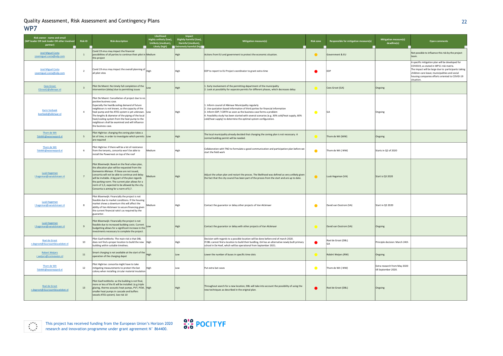This project has received funding from the European Union's Horizon 2020 research and innovation programme under grant agreement N° 864400.



## 22

| Risk owner - name and email<br>(WP leader OR task leader OR other involved<br>partner) | <b>Risk ID</b>  | <b>Risk description</b>                                                                                                                                                                                                                                                                                                                                                                                             | Likelihood<br>Highly unlikely (low),<br>Unlikely (medium), | Impact<br>Slightly harmful (low),<br>Harmful (medium),<br>Likely (high) Extremely harmful (high | <b>Mitigation measure(s)</b>                                                                                                                                                                                                                                                                                                                                                   | <b>Risk zone</b><br>Responsible for mitigation measure(s) |                        | <b>Mitigation measure(s)</b><br>deadline(s)          | Open comments                                                                                                                                                                                                                                                         |
|----------------------------------------------------------------------------------------|-----------------|---------------------------------------------------------------------------------------------------------------------------------------------------------------------------------------------------------------------------------------------------------------------------------------------------------------------------------------------------------------------------------------------------------------------|------------------------------------------------------------|-------------------------------------------------------------------------------------------------|--------------------------------------------------------------------------------------------------------------------------------------------------------------------------------------------------------------------------------------------------------------------------------------------------------------------------------------------------------------------------------|-----------------------------------------------------------|------------------------|------------------------------------------------------|-----------------------------------------------------------------------------------------------------------------------------------------------------------------------------------------------------------------------------------------------------------------------|
| José Miguel Costa<br>josemiguel.costa@edp.com                                          | 1               | Covid 19 virus may impact the financial<br>possibilities of all parties to continue their pilot in Medium<br>this project                                                                                                                                                                                                                                                                                           |                                                            | High                                                                                            | Actions from EU and government to protect the economic situation.                                                                                                                                                                                                                                                                                                              | $\bullet$                                                 | Government & EU        |                                                      | Not possible to influence this risk by the project                                                                                                                                                                                                                    |
| <b>José Miguel Costa</b><br>josemiguel.costa@edp.com                                   | $\overline{2}$  | Covid 19 virus may impact the overall planning of $ $ High<br>all pilot sites                                                                                                                                                                                                                                                                                                                                       |                                                            | High                                                                                            | EDP to report to EU Project coordinator to grant extra time                                                                                                                                                                                                                                                                                                                    | EDP                                                       |                        |                                                      | A specific mitigation plan will be developed for<br>COVID19, as stated in WP11 risk matrix.<br>The impact will be large due to: participants taking<br>children-care leave; municipalities and social<br>housing companies efforts oriented to COVID-19<br>situation. |
| Cees Groot<br>CGroot2@alkmaar.nl                                                       | -3              | Pilot De Meent: No timely full completion of the Low<br>intervention (delay) due to permitting issues                                                                                                                                                                                                                                                                                                               |                                                            | High                                                                                            | 1. Early involvement of the permitting department of the municipality<br>2. Look at possibility for separate permits for different phases, which decreases delay                                                                                                                                                                                                               |                                                           | Cees Groot (GA)        | Ongoing                                              |                                                                                                                                                                                                                                                                       |
| <b>Karin Verbeek</b><br>kverbeek@alkmaar.nl                                            | $\overline{4}$  | Pilot De Meent: Cancellation of project due to no<br>positive business case.<br>Especially the heat&cooling demand of future<br>neighbours is not known, so the capacity of the<br>heat pump and the ATES system is yet unknown. Low<br>The lengths & diameter of the piping of the local<br>heat/cooling system from the heat pump to the<br>neighbours shall be examined and will influence<br>the business case. |                                                            | High                                                                                            | 1. Inform counsil of Alkmaar Municipality regularly<br>2. Use quotation based information of third parties for financial information<br>3. Inform EDP / CERTH as soon as the business case forms a problem<br>1. Feasibility study has been started with several scenarios (e.g. 30% cold/heat supply, 60%<br>cold/heat supply) to determine the optimal system configuration. |                                                           |                        | Ongoing                                              |                                                                                                                                                                                                                                                                       |
| Thom de Wit<br>TdeWit@woonwaard.nl                                                     | 5 <sup>5</sup>  | Pilot Highrise: changing the zoning plan takes a<br>lot of time, in order to investigate which permits Low<br>are required                                                                                                                                                                                                                                                                                          |                                                            | High                                                                                            | The local municipality already decided that changing the zoning plan is not necessary. A<br>normal building permit will be needed.                                                                                                                                                                                                                                             |                                                           | Thom de Wit (WW)       | Ongoing                                              |                                                                                                                                                                                                                                                                       |
| Thom de Wit<br>TdeWit@woonwaard.nl                                                     | 6               | Pilot Highrise: if there will be a lot of resistance<br>from the tenants, consortia won't be able to<br>install the Powernest on top of the roof                                                                                                                                                                                                                                                                    | Medium                                                     | ligh                                                                                            | Collaboration with TNO to formulate a good communication and participation plan before we<br>start the field work                                                                                                                                                                                                                                                              | $\bullet$                                                 | Thom de Wit ( WW)      | Starts in Q2 of 2020                                 |                                                                                                                                                                                                                                                                       |
| <b>Luuk Hageman</b><br>I.hageman@vanalckmaer.nl                                        | $7\overline{ }$ | Pilot Bloemwijk: Based on the final urban plan,<br>the allocation plan will be requested from the<br>Gemeente Alkmaar. If these are not issued,<br>consortia will not be able to continue and delay<br>will be invitable. A big part of the plan regards<br>the parking norm. The current plan allows for a<br>norm of 1,0, expected to be allowed by the city.<br>Consortia is aiming for a norm of 0,7.           | Medium                                                     | High                                                                                            | Adjust the urban plan and restart the proces. The likelihood was defined as very unlikely given<br>the fact that the city council has been part of the proces from the start and are up to date.                                                                                                                                                                               | $\bullet$                                                 | Luuk Hageman (VA)      | Start is Q3 2020                                     |                                                                                                                                                                                                                                                                       |
| Luuk Hageman<br>I.hageman@vanalckmaer.nl                                               | 8               | Pilot Bloemwijk: Financially the project is not<br>feasible due to market conditions. If the housing<br>market shows a downturn this will affect the<br>ability of Van Alckmaer to secure financing given<br>the current financial ratio's as required by the<br>guarantor.                                                                                                                                         | Medium                                                     | High                                                                                            | Contact the guarantor or delay other projects of Van Alckmaer                                                                                                                                                                                                                                                                                                                  | $\bullet$                                                 | David van Oostrom (VA) | Start in Q3 2020                                     |                                                                                                                                                                                                                                                                       |
| Luuk Hageman<br>I.hageman@vanalckmaer.nl                                               | 9               | Pilot Bloemwijk: Financially the project is not<br>feasible due to increased building costs. Current<br>budgetting allows for a significant increase in the Low<br>investments necessary to complete the project.                                                                                                                                                                                                   |                                                            | High                                                                                            | Contact the guarantor or delay with other projects of Van Alckmaer                                                                                                                                                                                                                                                                                                             |                                                           | David van Oostrom (VA) | Ongoing                                              |                                                                                                                                                                                                                                                                       |
| Roel de Groot<br>r.degroot@duurzaambouwloket.nl                                        | 10              | Pilot GasFreeWorks: The main risk is that DBL<br>does not find a proper location to build the new  High<br>building within suitable timelines.                                                                                                                                                                                                                                                                      |                                                            | High                                                                                            | Decision with regards to a possible location will be done before end of march 2020.<br>If DBL cannot find a location to build their buidling, GA has an alternative newly built primary<br>school in De Hoef, which will be operational from September 2021.                                                                                                                   |                                                           | Roel de Groot (DBL)    | Principle decision: March 24th                       |                                                                                                                                                                                                                                                                       |
| <b>Robert Weijers</b><br>r.weijers@connexxion.nl                                       | 11              | Smart charging is not available at the start of the High<br>operation of the charging depot                                                                                                                                                                                                                                                                                                                         |                                                            | Low                                                                                             | Lower the number of buses in specific time slots                                                                                                                                                                                                                                                                                                                               |                                                           | Robèrt Weijers (RW)    | Ongoing                                              |                                                                                                                                                                                                                                                                       |
| Thom de Wit<br>TdeWit@woonwaard.nl                                                     | 12              | Pilot Highrise: consortia might have to take<br>mitigating measurements to protect the bat<br>colony when installing circular material insulation                                                                                                                                                                                                                                                                   | High                                                       | Low                                                                                             | Put extra bat cases                                                                                                                                                                                                                                                                                                                                                            | $\bullet$                                                 | Thom de Wit (WW)       | Extra research from May 2020<br>till September 2020. |                                                                                                                                                                                                                                                                       |
| Roel de Groot<br>r.degroot@duurzaambouwloket.nl                                        | 13              | Pilot GasFreeWorks: as the building is not final,<br>more or less of the IE will be installed. (e.g.triple<br>glazing, thermo acoustic heat pumps, PVT, PCM, High<br>smaller heat pumps in cascade and buffers<br>vessels ATES system). See risk 10                                                                                                                                                                 |                                                            | <b>High</b>                                                                                     | Throughout search for a new location, DBL will take into account the possibility of using the<br>new techniques as described in the original plan.                                                                                                                                                                                                                             | $\bullet$                                                 | Roel de Groot (DBL)    | Ongoing                                              |                                                                                                                                                                                                                                                                       |

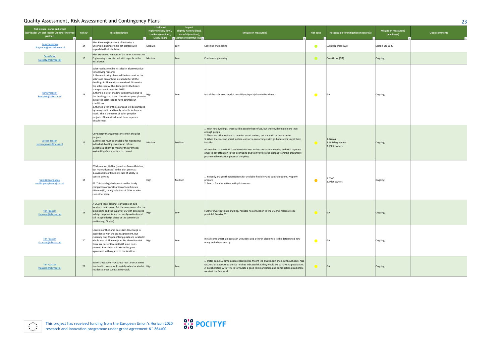

| . .<br>. | . .          |
|----------|--------------|
| . .      | ×            |
|          | ۰,<br>٠<br>× |

| Risk owner - name and email<br>(WP leader OR task leader OR other involved<br>partner) | <b>Risk ID</b> | <b>Risk description</b>                                                                                                                                                                                                                                                                                                                                                                                                                                                                                                                                                                                                                                                                                                  | Likelihood<br>Highly unlikely (low),<br>Unlikely (medium), | Impact<br>Slightly harmful (low),<br>Harmful (medium),<br>Likely (high) La Extremely harmful (high | <b>Mitigation measure(s)</b>                                                                                                                                                                                                                                                                                                                                                                                                                                                                                                                      | <b>Risk zone</b> | Responsible for mitigation measure(s)            | Mitigation measure(s)<br>deadline(s) | Open comments |
|----------------------------------------------------------------------------------------|----------------|--------------------------------------------------------------------------------------------------------------------------------------------------------------------------------------------------------------------------------------------------------------------------------------------------------------------------------------------------------------------------------------------------------------------------------------------------------------------------------------------------------------------------------------------------------------------------------------------------------------------------------------------------------------------------------------------------------------------------|------------------------------------------------------------|----------------------------------------------------------------------------------------------------|---------------------------------------------------------------------------------------------------------------------------------------------------------------------------------------------------------------------------------------------------------------------------------------------------------------------------------------------------------------------------------------------------------------------------------------------------------------------------------------------------------------------------------------------------|------------------|--------------------------------------------------|--------------------------------------|---------------|
| <b>Luuk Hageman</b><br>I.hageman@vanalckmaer.nl                                        | 14             | Pilot Bloemwijk: Amount of batteries is<br>uncertain. Engineering is not started with<br>regards to the installation.                                                                                                                                                                                                                                                                                                                                                                                                                                                                                                                                                                                                    | Medium                                                     | Low                                                                                                | Continue engineering                                                                                                                                                                                                                                                                                                                                                                                                                                                                                                                              | $\bullet$        | Luuk Hageman (VA)                                | Start in Q3 2020                     |               |
| Cees Groot<br>CGroot2@alkmaar.nl                                                       | 15             | Pilot De Meent: Amount of batteries is uncertain.<br>Engineering is not started with regards to the<br>installation.                                                                                                                                                                                                                                                                                                                                                                                                                                                                                                                                                                                                     | Medium                                                     | Low                                                                                                | Continue engineering                                                                                                                                                                                                                                                                                                                                                                                                                                                                                                                              | $\bullet$        | Cees Groot (GA)                                  | Ongoing                              |               |
| karin Verbeek<br>kverbeek@alkmaar.nl                                                   | 16             | Solar road cannot be installed in Bloemwijk due<br>to following reasons:<br>1. the monitoring phase will be too short as the<br>solar road can only be installed after all the<br>dwellings in Bloemwijk are realised. Otherwise<br>the solar road will be damaged by the heavy<br>transport vehicles (after 2025).<br>2. there is a lot of shadow in Bloemwijk due to<br>the dwellings and trees. There is no good place to High<br>install the solar road to have optimal sun<br>conditions.<br>3. the top layer of the solar road will be damaged<br>by heavy traffic and is only suitable for bicycle<br>roads. This is the result of other pre-pilot<br>projects. Bloemwijk doesn't have seperate<br>bicycle roads. |                                                            | Low                                                                                                | Install the solar road in pilot area Olympiapark (close to De Meent)                                                                                                                                                                                                                                                                                                                                                                                                                                                                              |                  | GA                                               | Ongoing                              |               |
| Jeroen Jansen<br>jeroen.jansen@neroa.nl                                                | 17             | City Energy Management System in the pilot<br>projects<br>1. dwellings must be available for monitoring,<br>individual dwelling owners can refuse<br>2.technical ability to monitor the premises;<br>availability of an interface to connect.                                                                                                                                                                                                                                                                                                                                                                                                                                                                            | Medium                                                     | Medium                                                                                             | 1. With 400 dwellings, there will be people that refuse, but there will remain more than<br>enough people<br>2. There are other options to monitor smart meters, but data will be less acurate.<br>3. When there are no smart meters, consortia can arrange with grid operators to get them<br>installed.<br>All members at the WP7 have been informed in the consortium meeting and with seperate<br>email to pay attention to the interfacing and to involve Neroa starting from the procument<br>phase untill realisation phase of the pilots. |                  | . Neroa<br>2. Building owners<br>3. Pilot owners | Ongoing                              |               |
| Vasiliki Georgiadou<br>vasiliki.georgiadou@tno.nl                                      | 18             | DSM solution, ReFlex (based on PowerMatcher,<br>but more advanced) in the pilot projects:<br>1. Availability of flexibility, lack of ability to<br>control devices<br>PS. This task highly depends on the timely<br>completion of construction of new houses<br>(Bloemwijk), timely selection of GFW location<br>(see other risks)                                                                                                                                                                                                                                                                                                                                                                                       | High                                                       | Medium                                                                                             | Properly analyse the possibilities for available flexibility and control options. Properly<br>prepare.<br>2. Search for alternatives with pilot owners                                                                                                                                                                                                                                                                                                                                                                                            | $\bullet$        | TNO<br>2. Pilot owners                           | Ongoing                              |               |
| <b>Tim Faassen</b><br>tfaassen@alkmaar.nl                                              | 19             | A DC grid (only cabling) is available at two<br>locations in Alkmaar. But the components for the<br>lamp posts and the supply of DC with associated High<br>safety components are not easily available and<br>still in a pre design phase at the commercial<br>parties (e.g. Citytec).                                                                                                                                                                                                                                                                                                                                                                                                                                   |                                                            |                                                                                                    | Further investigation is ongoing. Possible no connection to the DC grid. Alternative IE<br>possible? See risk 20                                                                                                                                                                                                                                                                                                                                                                                                                                  |                  | GA                                               | Ongoing                              |               |
| <b>Tim Faassen</b><br>tfaassen@alkmaar.nl                                              | 20             | Location of the Lamp posts is in Bloemwijk in<br>accordance with the grant agreement. But<br>currently only 65 pcs of lamp posts are located in<br>whole area of Bloemwijk. At De Meent ice rink   High<br>there are currently exactly 82 lamp posts<br>present. Probably a mistake in the grant<br>agreement with regards to the location.                                                                                                                                                                                                                                                                                                                                                                              |                                                            | Low                                                                                                | Install some smart lampposts in De Meent and a few in Bloemwijk. To be determined how<br>many and where exactly.                                                                                                                                                                                                                                                                                                                                                                                                                                  | $\sqrt{2}$       | GA                                               | Ongoing                              |               |
| <b>Tim Faassen</b><br>tfaassen@alkmaar.nl                                              | 21             | 5G on lamp posts may cause resistance as some<br>fear health problems. Especially when located at High<br>residence areas such as Bloemwijk.                                                                                                                                                                                                                                                                                                                                                                                                                                                                                                                                                                             |                                                            | Low                                                                                                | 1. Install some 5G lamp posts at location De Meent (no dwellings in the neighbourhood). Also<br>McDonalds opposite to the ice rink has indicated that they would like to have 5G possibilities.<br>2. Collaboration with TNO to formulate a good communication and participation plan before<br>we start the field work.                                                                                                                                                                                                                          |                  | <b>GA</b>                                        | Ongoing                              |               |

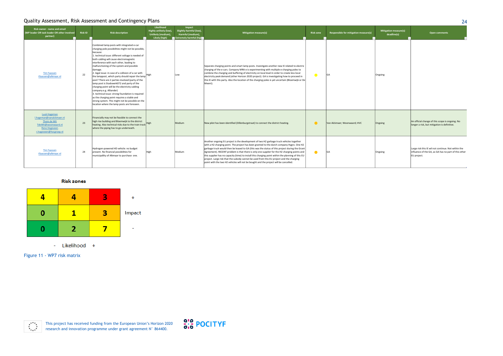This project has received funding from the European Union's Horizon 2020 research and innovation programme under grant agreement N° 864400.



Figure 11 - WP7 risk matrix



| Quality Assessment, Risk Assessment and Contingency Plans<br>24                                                                  |                |                                                                                                                                                                                                                                                                                                                                                                                                                                                                                                                                                                                                                                                                                                                                                                                                                        |                                                                                     |                                                                                    |                                                                                                                                                                                                                                                                                                                                                                                                                                                                                                                                                                                                                                                                                   |                  |                                       |                                             |                                                                                                                            |  |  |  |
|----------------------------------------------------------------------------------------------------------------------------------|----------------|------------------------------------------------------------------------------------------------------------------------------------------------------------------------------------------------------------------------------------------------------------------------------------------------------------------------------------------------------------------------------------------------------------------------------------------------------------------------------------------------------------------------------------------------------------------------------------------------------------------------------------------------------------------------------------------------------------------------------------------------------------------------------------------------------------------------|-------------------------------------------------------------------------------------|------------------------------------------------------------------------------------|-----------------------------------------------------------------------------------------------------------------------------------------------------------------------------------------------------------------------------------------------------------------------------------------------------------------------------------------------------------------------------------------------------------------------------------------------------------------------------------------------------------------------------------------------------------------------------------------------------------------------------------------------------------------------------------|------------------|---------------------------------------|---------------------------------------------|----------------------------------------------------------------------------------------------------------------------------|--|--|--|
| Risk owner - name and email<br>(WP leader OR task leader OR other involved<br>partner)                                           | <b>Risk ID</b> | <b>Risk description</b>                                                                                                                                                                                                                                                                                                                                                                                                                                                                                                                                                                                                                                                                                                                                                                                                | Likelihood<br>Highly unlikely (low),<br><b>Unlikely (medium)</b> ,<br>Likely (high) | Impact<br>Slightly harmful (low),<br>Harmful (medium),<br>Extremely harmful (high- | Mitigation measure(s)                                                                                                                                                                                                                                                                                                                                                                                                                                                                                                                                                                                                                                                             | <b>Risk zone</b> | Responsible for mitigation measure(s) | <b>Mitigation measure(s)</b><br>deadline(s) | <b>Open comments</b>                                                                                                       |  |  |  |
| <b>Tim Faassen</b><br>tfaassen@alkmaar.nl                                                                                        | 22             | Combined lamp posts with integrated e-car<br>charging pole possibilities might not be possible,<br>because:<br>1. technical issue: different voltage is needed of<br>both cabling will cause electromagnetic<br>interference with each other, leading to<br>malfunctioning of the system and possible<br>damage.<br>2. legal issue: in case of a collision of a car with<br>the lamppost, which party should repair the lamp High<br>post? There are 2 parties involved (party of the<br>lamp post is Stadswerk072 and party of the<br>charging point will be the electricity cabling<br>company e.g. Alliander)<br>3. technical issue: strong foundation is required<br>as the charging point requires a stable and<br>strong system. This might not be possible on the<br>location where the lamp posts are foreseen |                                                                                     | LOW                                                                                | Separate charging points and smart lamp posts. Investigate another new IE related to electric<br>charging of the e-cars. Company MRA-e is experimenting with multiple e-charging poles to<br>combine the charging and buffering of electricity on local level in order to create less local<br>electricity peak demand (other Horizon 2020 project). GA is investigating how to proceed in<br>this IE with this party. Also the location of the charging poles is yet uncertain (Bloemwijk or De<br>Meent).                                                                                                                                                                       |                  | <b>GA</b>                             | Ongoing                                     |                                                                                                                            |  |  |  |
| Luuk Hageman<br>I.hageman@vanalckmaer.nl<br>Thom de Wit<br>TdeWit@woonwaard.nl<br><b>Rene Hogeveen</b><br>r.hogeveen@hvcgroep.nl | 23             | Financially may not be feasible to connect the<br>high rise building and Bloemwijk to the district<br>heating. Also technical risks due to the train track High<br>where the piping has to go underneath.                                                                                                                                                                                                                                                                                                                                                                                                                                                                                                                                                                                                              |                                                                                     | Medium                                                                             | New pilot has been identified (Dillenburgstraat) to connect the district heating.                                                                                                                                                                                                                                                                                                                                                                                                                                                                                                                                                                                                 | $\bullet$        | Van Alckmaer; Woonwaard; HVC          | Ongoing                                     | An official change of this scope is ongoing. No<br>longer a risk, but mitigation is definitive.                            |  |  |  |
| <b>Tim Faassen</b><br>tfaassen@alkmaar.nl                                                                                        | 24             | Hydrogen-powered HD vehicle: no budget<br>present. No financial possibilities for<br>municipallity of Alkmaar to purchase one.                                                                                                                                                                                                                                                                                                                                                                                                                                                                                                                                                                                                                                                                                         | High                                                                                | Medium                                                                             | Another ongoing EU project is the development of two H2 garbage truck vehicles together<br>with a H2 charging point. The project has been granted to the dutch company Hygro. One H2<br>garbage truck would then be leased to GA (this was the status of this project during the Grant<br>Agreement). RECENT problem is that there is only one supplier for the H2 charging points and<br>this supplier has no capacity (time) to install this charging point within the planning of this EU<br>project. Large risk that the subsidy cannot be used from this EU project and the charging<br>point with the two H2 vehicles will not be bought and the project will be cancelled. | $\bullet$        |                                       | Ongoing                                     | Large risk this IE wil not continue. Not within the<br>influence of the GA, as GA has no part of this other<br>EU project. |  |  |  |

#### **Risk zones**

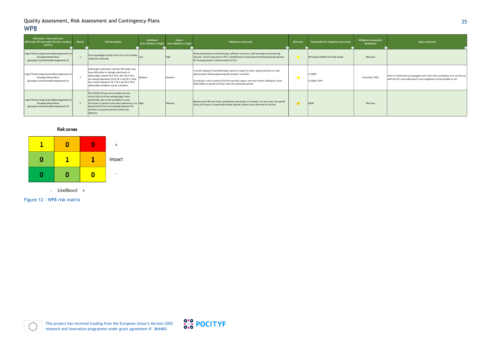

### 25

Figure 12 - WP8 risk matrix



| igation measure(s)<br>deadline(s)<br>$\overline{\phantom{a}}$ | <b>Open comments</b><br>÷                                                                                                                                  |
|---------------------------------------------------------------|------------------------------------------------------------------------------------------------------------------------------------------------------------|
| Mid June                                                      |                                                                                                                                                            |
| December 2020                                                 | Here it is important to propagate such risk to the coordinator so it can discuss<br>with the PO, and understand if such mitigation can be feasible or not. |
| Mid June                                                      |                                                                                                                                                            |

| <b>Risk owner - name and email</b><br>(WP leader OR task leader OR other involved<br>partner)                  | <b>Risk ID</b> | <b>Risk description</b>                                                                                                                                                                                                                                                                                  | Likelihood | Impact<br>(Low, Medium or High) (Low, Medium or High) | <b>Mitigation measure(s)</b>                                                                                                                                                                                                                                                                                        | <b>Risk zone</b> | Responsible for mitigation measure(s) | <b>Mitigation measure(s)</b><br>deadline(s) |
|----------------------------------------------------------------------------------------------------------------|----------------|----------------------------------------------------------------------------------------------------------------------------------------------------------------------------------------------------------------------------------------------------------------------------------------------------------|------------|-------------------------------------------------------|---------------------------------------------------------------------------------------------------------------------------------------------------------------------------------------------------------------------------------------------------------------------------------------------------------------------|------------------|---------------------------------------|---------------------------------------------|
| Luigi D'Oriano (luigi.doriano@energyatwork.it)<br>Giuseppe Mastandrea<br>(giuseppe.mastandrea@energyatwork.it) |                | Poor knowledge transfer from LHs to FCs hinders Low<br>replication planning                                                                                                                                                                                                                              |            | High                                                  | Active participation and mentoring, sufficient resources, staff exchange and practicing<br>sessions. Correct execution of T8.2. Establishment of periodical (remote/physical) sessions<br>for showing project's advancements to FCs.                                                                                |                  | WP leader (E@W) and Tasks leader      | Mid June                                    |
| Luigi D'Oriano (luigi.doriano@energyatwork.it)<br>Giuseppe Mastandrea<br>(giuseppe.mastandrea@energyatwork.it) |                | Deliverable submission overlap: WP leader may<br>have difficulties to manage submission of<br>deliverables related T8.3-T8.8. Also T8.3-T8.8<br>are heavily dependent from T8.1 and T8.2. Only<br>two months between T8.1 T8.2 and T8.3-T8.8<br>deliverables deadline may be a problem                   | Medium     | Medium                                                | 1) Avoid relying on final deliverable reports as input for tasks: update partners on task<br>advancement while progressing with project's activities.<br>2) Evaluate, in the context of the first periodic report, one-two months shifting for some<br>deliverables to spread and then relax the submission period. |                  | 1) E@W<br>2) E@W, EDPL                | December 2020                               |
| Luigi D'Oriano (luigi.doriano@energyatwork.it)<br>Giuseppe Mastandrea<br>(giuseppe.mastandrea@energyatwork.it) |                | The COVID-19 may cause trouble into the<br>correct kick-of of the workpackage. More<br>specifically, due to the possibility in some<br>territories to perform only web conferences, it is High<br>expected that the local meeting between FCs<br>and their ecosystem partners will be less<br>effective. |            | Medium                                                | Reinforce the WP and Tasks coordination, and check, in 3 months, for each task, the overall<br>status of th work, to eventually include specific actions to put the work on the line.                                                                                                                               | $\bullet$        | E@W                                   | Mid June                                    |

#### **Risk zones**

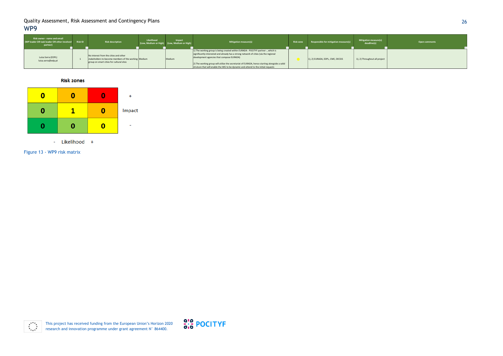

# 26

Figure 13 - WP9 risk matrix



| Risk owner - name and email<br>(WP leader OR task leader OR other involved Risk ID<br>partner) | <b>Risk description</b>                                                                                                                   | Likelihood | Impact<br>(Low, Medium or High) (Low, Medium or High) | <b>Mitigation measure(s)</b>                                                                                                                                                                                                                                                                                                                                                                                   | <b>Risk zone</b> | Responsible for mitigation measure(s) | <b>Mitigation measure(s)</b><br>deadline(s) | Open comments |
|------------------------------------------------------------------------------------------------|-------------------------------------------------------------------------------------------------------------------------------------------|------------|-------------------------------------------------------|----------------------------------------------------------------------------------------------------------------------------------------------------------------------------------------------------------------------------------------------------------------------------------------------------------------------------------------------------------------------------------------------------------------|------------------|---------------------------------------|---------------------------------------------|---------------|
| Luísa Serra (EDPL)<br>luisa.serra@edp.pt                                                       | No interest from the cities and other<br>stakeholders to become members of the working Medium<br>group on smart cities for cultural sites |            | Medium                                                | 1) The working group is being created within EURADA - POCITYF partner -, which is<br>significantly interested and already has a strong network of cities (via the regional<br>development agencies that compose EURADA)<br>[2] The working group will utilize the secretariat of EURADA, hence starting alongside a solid<br>struture that will enable the WG to be dynamic and attend to the initial requests |                  | 1), 2) EURADA, EDPL, CME, DECSIS      | 1), 2) Throughout all project               |               |

**Risk zones** 

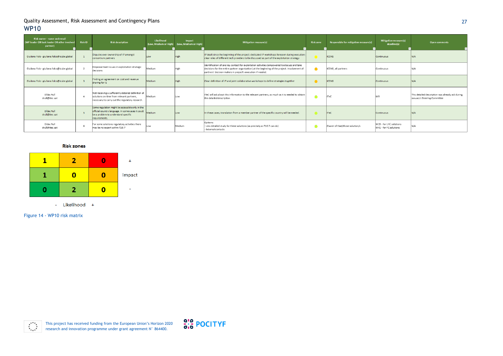| Risk owner - name and email<br>(WP leader OR task leader OR other involved<br>partner) | <b>Risk ID</b> | <b>Risk description</b>                                                                                                                                      | Likelihood<br>(Low, Medium or High) | Impact<br>(Low, Medium or High) | Mitigation measure(s)                                                                                                                                                                                                                                         | <b>Risk zone</b> | Responsible for mitigation measure(s) | Mitigation measure(s)<br>deadline(s)                          | <b>Open comments</b>                                                             |
|----------------------------------------------------------------------------------------|----------------|--------------------------------------------------------------------------------------------------------------------------------------------------------------|-------------------------------------|---------------------------------|---------------------------------------------------------------------------------------------------------------------------------------------------------------------------------------------------------------------------------------------------------------|------------------|---------------------------------------|---------------------------------------------------------------|----------------------------------------------------------------------------------|
| Giuliana Folo - giuliana.folco@icube.global                                            |                | Disputes over ownership of IP amongst<br>consortium partners                                                                                                 | low                                 |                                 | IP dealt since the beginning of the project; dedicated IP workshops foreseen during execution;<br>clear roles of different tech providers to be discussed as part of the exploitation strategy                                                                |                  | <b>ICONS</b>                          | <b>Continuous</b>                                             | N/A                                                                              |
| Giuliana Folo - giuliana.folco@icube.global                                            |                | Empowerment issues in exploitation strategic<br>decisions                                                                                                    | Medium                              |                                 | Identification of one key contact for exploitation activities (empowered to discuss and take<br>decisions for the entire partner organization) at the beginning of the project. Involvement of<br>partners' decision makers in project's execution if needed. | $\bullet$        | ICONS, all partners                   | Continuous                                                    | N/A                                                                              |
| Giuliana Folo - giuliana.folco@icube.global                                            |                | Finding an agreement on cost and revenue<br>sharing for IS                                                                                                   | Medium                              | High                            | Clear definition of IP and joint collaborative workshops to define strategies together                                                                                                                                                                        |                  | <b>ICONS</b>                          | Continuous                                                    | N/A                                                                              |
| Dídac Rull<br>drull@itec.cat                                                           |                | Not receiving a sufficiently detailed definition of<br>solutions on time from relevant partners.<br>necessary to carry out the regulatory research.          | Medium                              | Low                             | ITeC will ask about this information to the relevant partners, as much as it is needed to obtain<br>the detailed description.                                                                                                                                 |                  | <b>ITeC</b>                           | M9                                                            | This detailed description was already ask during<br>January's Steering Committee |
| Dídac Rull<br>drull@itec.cat                                                           |                | Some regulation might be accessible only in the<br>official country language. In some cases it could<br>be a problem to understand specific<br>requirements. | Medium                              | Low                             | In these cases, translation from a member partner of the specific country will be needed.                                                                                                                                                                     |                  | <b>ITeC</b>                           | Continuous                                                    | N/A                                                                              |
| Dídac Rull<br>drull@itec.cat                                                           |                | For some solutions regulatory activities there<br>may be no expert within T10.7                                                                              | Low                                 | Medium                          | Options:<br>Less detailed study for these solutions (as precisely as T10.7 can do)<br>- External contacts                                                                                                                                                     |                  | Owner of that/those solution/s        | M <sub>19</sub> - for LHC solutions<br>M41 - for FC solutions | N/A                                                                              |

#### **Risk zones**



- Likelihood +

This project has received funding from the European Union's Horizon 2020 research and innovation programme under grant agreement N° 864400.



## 27

Figure 14 - WP10 risk matrix

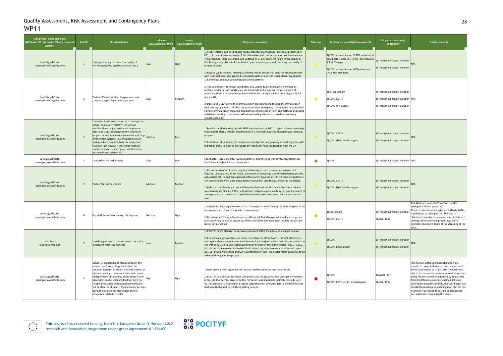

## 28

| Risk owner - name and email<br>(WP leader OR task leader OR other involved<br>partner) | <b>Risk ID</b> | <b>Risk description</b>                                                                                                                                                                                                                                                                                                                                                                                                                                                                                     | Likelihood<br>(Low, Medium or High) | Impact<br>(Low, Medium or High) | <b>Mitigation measure(s)</b>                                                                                                                                                                                                                                                                                                                                                                                                                                                                                                                                                                                                                                                                                                                              | <b>Risk zone</b><br>Responsible for mitigation measure(s) |                                                                                                                                                                                    | Mitigation measure(s)<br>deadline(s)                                                                   | <b>Open comments</b>                                                                                                                                                                                                                                                                                                                                                                                                                                                                                                            |
|----------------------------------------------------------------------------------------|----------------|-------------------------------------------------------------------------------------------------------------------------------------------------------------------------------------------------------------------------------------------------------------------------------------------------------------------------------------------------------------------------------------------------------------------------------------------------------------------------------------------------------------|-------------------------------------|---------------------------------|-----------------------------------------------------------------------------------------------------------------------------------------------------------------------------------------------------------------------------------------------------------------------------------------------------------------------------------------------------------------------------------------------------------------------------------------------------------------------------------------------------------------------------------------------------------------------------------------------------------------------------------------------------------------------------------------------------------------------------------------------------------|-----------------------------------------------------------|------------------------------------------------------------------------------------------------------------------------------------------------------------------------------------|--------------------------------------------------------------------------------------------------------|---------------------------------------------------------------------------------------------------------------------------------------------------------------------------------------------------------------------------------------------------------------------------------------------------------------------------------------------------------------------------------------------------------------------------------------------------------------------------------------------------------------------------------|
| José Miguel Costa<br>josemiguel.costa@edp.com                                          |                | Underperforming partners (low quality of<br>work/deliverables; systematic delays, etc.)                                                                                                                                                                                                                                                                                                                                                                                                                     |                                     |                                 | 1) Proper internal two-entities peer review procedures are already in place, as presented in<br>D11.1, in order to ensure quality of the deliverables and their preparation in a timely manner.<br>This procedure is also presented, and updated, in D11.4, where the figure of the Quality &<br>Risk Manager (and Technical Coordinator) gains more importance in ensuring the quality of<br>project outputs.<br>[2] Regular WP & technical meetings are being held to ensure that activities are streamlined,<br>with clear next steps and assigned responsible partners and that lessons learnt are shared.                                                                                                                                            | $\bullet$                                                 | 1) EDPL, as coordinator; CERTH, as technical<br>coordinator; and EDPL, in the role of Quality<br>& Risk Manager<br>2) EDPL, as coordinator; WP leaders; and<br>LHCs' Site Managers | ) Throughout project duration<br>) Throughout project duration                                         |                                                                                                                                                                                                                                                                                                                                                                                                                                                                                                                                 |
| José Miguel Costa<br>josemiguel.costa@edp.com                                          | $\overline{2}$ | Technical/administrative disagreement and<br>cooperation problems among partners                                                                                                                                                                                                                                                                                                                                                                                                                            | -OW                                 | Medium                          | 1) Continuous communication between all the partners.<br>2) The Coordinator, Technical Coordinator and Quality & Risk Manager are working on<br>problem solving, already working on identified risks and respective mitigation plans. If<br>necessary, the Consortium Plenary Board will decide the right solution according to the CA<br>and the GA.<br>3) D11.1 and D11.4 define the communication procedures and the use of communication<br>tools already operational for the consortium (Teams workspace). The PC is the responsible of<br>solving communication problems, establishing communication flows and methods and calling<br>to bilateral meetings if necessary. WP-related mailing lists were created and are being<br>regularly updated. | $\bullet$                                                 | 1) All consortium<br>2) EDPL; CERTH<br>3) EDPL, WP-leaders                                                                                                                         | 1) Throughout project duration<br>2) Throughout project duration N/A<br>3) Throughout project duration |                                                                                                                                                                                                                                                                                                                                                                                                                                                                                                                                 |
| José Miguel Costa<br>josemiguel.costa@edp.com                                          |                | Limited or inadequate resources to manage the<br>project complexity: POCITYF consortium<br>members have long experience in large-scale<br>pilots and large technology-driven innovation<br>projects as well as in the implementation of large Medium<br>and complex systems, thus the possibilities of<br>such problems compromising the project are<br>relatively low. However, the limited financial<br>resources and extended project duration may<br>increase the respective risk                       |                                     | Low                             | 1) Besides the EC reporting periods, EDPL has stipulated, in D11.1, regular internal reportings,<br>to be used to closely monitor (maximum each 6 months) resources' allocation and technical<br>progress<br>2) Installation of solutions that require more budget are being already studied, together with<br>mitigation plans, in order to antecipate any significant financial deviation from the GA                                                                                                                                                                                                                                                                                                                                                   | $\bullet$                                                 | 1) EDPL; CERTH<br>2) EDPL; LHCs' Site Managers                                                                                                                                     | 1) Throughout project duration<br>2) Throughout project duration                                       |                                                                                                                                                                                                                                                                                                                                                                                                                                                                                                                                 |
| José Miguel Costa<br>josemiguel.costa@edp.com                                          | $\overline{4}$ | Consortium has no harmony                                                                                                                                                                                                                                                                                                                                                                                                                                                                                   | Low                                 | Low                             | Coordinator is regular contact with all partners, guaranteeing that any team problems are<br>identified and solved before they escalate.                                                                                                                                                                                                                                                                                                                                                                                                                                                                                                                                                                                                                  | $\bullet$                                                 | 1) EDPL                                                                                                                                                                            | 1) Throughout project duration  N/A                                                                    |                                                                                                                                                                                                                                                                                                                                                                                                                                                                                                                                 |
| José Miguel Costa<br>josemiguel.costa@edp.com                                          | 5 <sup>5</sup> | Partner leaves Consortium                                                                                                                                                                                                                                                                                                                                                                                                                                                                                   | Medium                              | Medium                          | 1) Consortium is of sufficient strength and diversity so that partners can be replaced if<br>required. Coordinator and Technical Coordinator are ensuring, via internal reporting periods,<br>appropriate control and management of the work in progress so that the remaining partners<br>can complete the work, until a new partner is found (in case that is considered necessary).<br>2) Risks that may lead to partner withdrawal (all related to LHCs' demonstration activities)<br>were already identified in D11.4, with defined mitigation plans involving not only the search of<br>a new partner, but the reallocation of the removed partner to others that can execute that<br>work.                                                         | $\bullet$                                                 | 1) EDPL; CERTH<br>2) EDPL; LHCs' Site Managers                                                                                                                                     | 1) Throughout project duration<br>2) Throughout project duration                                       |                                                                                                                                                                                                                                                                                                                                                                                                                                                                                                                                 |
| José Miguel Costa<br>josemiguel.costa@edp.com                                          | 6              | Key staff illness/leave during critical phase                                                                                                                                                                                                                                                                                                                                                                                                                                                               | Medium                              | High                            | [1] All partners have experienced staff that may replace and take over the work assigned to the<br>leaving member, either temporarily or permanently.<br>2) Coordinator, Technical Coordinator and Quality & Risk Manager will develop a mitigation<br>plan specifically related to COVID-19, where one of the addressed topics will be the possible<br>lack of key personnei                                                                                                                                                                                                                                                                                                                                                                             | $\bullet$                                                 | .) Consortium<br>2) EDPL, CERTH                                                                                                                                                    | .) Throughout project duration<br>2) April, 30th                                                       | Risk likelihood would be "Low" without the<br>emergence of the COVID-19.<br>Due to its recent evolution (so as of March, 2020),<br>Coordinator has changed the likelihood to<br>"Medium", in order to raise awareness to this fact<br>amongst the consortium preventing a more<br>dramatic situation in terms of the spreading of the<br>virus.                                                                                                                                                                                 |
| Luísa Serra<br>luisa.serra@edp.pt                                                      |                | Unwilling partners to cooperate with the social,<br>ethical and legal requirements                                                                                                                                                                                                                                                                                                                                                                                                                          | Low                                 | Medium                          | 1) POCITYF Ethics Manager has proven experience within the ethical compliance domain<br>2) Project management structure, more concretely the Ethics Board (chaired by the Ethics<br>Manager and with one representative from each partner) will ensure that the consortium is in<br>line with social, ethical and legal requirements. Moreover, three deliverables - D12.1, D12.2,<br>D12.3 - were submitted in November 2019, addressing already some ethical-related topics.<br>D11.11 - Ethical Monitoring and GDPR Conformation Plans - delineates major guidelines to-be-<br>followed throughout the project.                                                                                                                                        | $\bullet$                                                 | 1) EDPL<br>2) EDPL, Ethics Board                                                                                                                                                   | 1) Throughout project duration<br>2) Throughout project duration                                       |                                                                                                                                                                                                                                                                                                                                                                                                                                                                                                                                 |
| José Miguel Costa<br>josemiguel.costa@edp.com                                          | 8              | COVID-19 impact: due to recent spread of the<br>virus across Europe, it's possible that this<br>situation impacts the project not only in terms of<br>physical meetings' occurence, but also in terms<br>of deployment of solutions, as this phase is very<br>dependent on site visits and field work (it's not<br>reliable predictable when circulation restraints<br>will be lifted, as of today). The amount of persons<br>going to sick leave can also impact project<br>progress, as stated in risk #6 |                                     | High                            | 1) Next physical meetings (until July, at least) will be converted into remote calls.<br>2) POCITYF Coordinator, Technical Coordinator and the Quality & Risk Manager will initiate a<br>process to thoroughly characterise this risk (which was impossible to timely conclude until<br>D11.4 submission), envolving in a second stage the LHCs' Site Managers to identify solutions<br>that have the highest possibility of getting delayed.                                                                                                                                                                                                                                                                                                             | $\bullet$                                                 | 1) EDPL<br>2) EDPL; CERTH; LHCs' Site Managers                                                                                                                                     | l) March, 31st<br>2) April, 30th                                                                       | This risk can suffer significant changes in the<br>months to come, inclusive its total removal until<br>the second version of D11.4 (M14). Nevertheless,<br>due to its continental presence across Europe, and<br>being POCITYF consortium formed by 46 partners<br>from 13 different countries (leading right know<br>with harder boarder controls), the Coordinator has<br>decided to develop a sound mitigation plan for this<br>risk to start assessing its possible consequences<br>and start conceiving mitigation plans. |